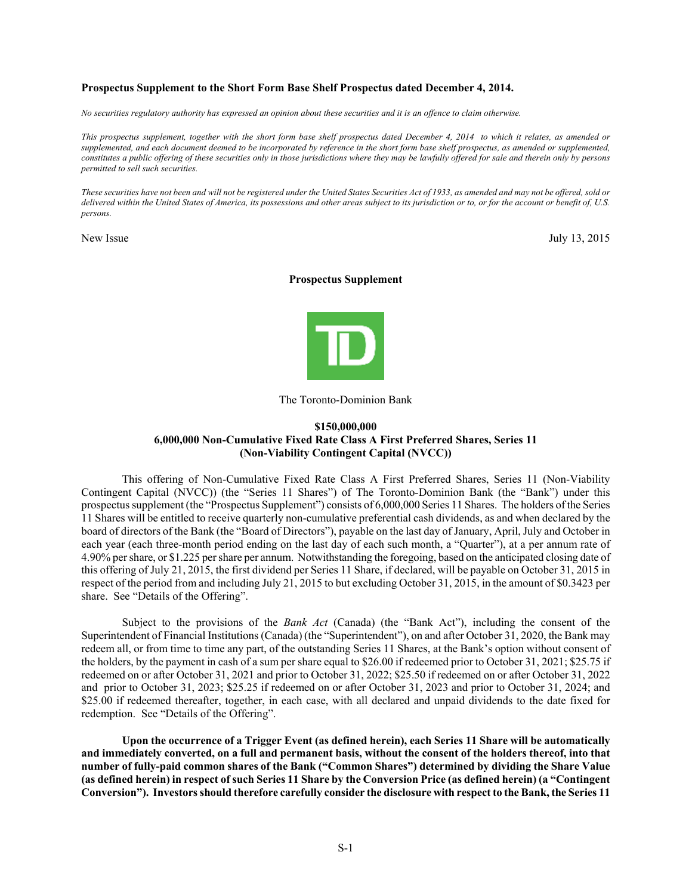# **Prospectus Supplement to the Short Form Base Shelf Prospectus dated December 4, 2014.**

*No securities regulatory authority has expressed an opinion about these securities and it is an offence to claim otherwise.* 

*This prospectus supplement, together with the short form base shelf prospectus dated December 4, 2014 to which it relates, as amended or*  supplemented, and each document deemed to be incorporated by reference in the short form base shelf prospectus, as amended or supplemented, *constitutes a public offering of these securities only in those jurisdictions where they may be lawfully offered for sale and therein only by persons permitted to sell such securities.* 

*These securities have not been and will not be registered under the United States Securities Act of 1933, as amended and may not be offered, sold or delivered within the United States of America, its possessions and other areas subject to its jurisdiction or to, or for the account or benefit of, U.S. persons.* 

New Issue July 13, 2015

### **Prospectus Supplement**



The Toronto-Dominion Bank

# **\$150,000,000 6,000,000 Non-Cumulative Fixed Rate Class A First Preferred Shares, Series 11 (Non-Viability Contingent Capital (NVCC))**

This offering of Non-Cumulative Fixed Rate Class A First Preferred Shares, Series 11 (Non-Viability Contingent Capital (NVCC)) (the "Series 11 Shares") of The Toronto-Dominion Bank (the "Bank") under this prospectus supplement (the "Prospectus Supplement") consists of 6,000,000 Series 11 Shares. The holders of the Series 11 Shares will be entitled to receive quarterly non-cumulative preferential cash dividends, as and when declared by the board of directors of the Bank (the "Board of Directors"), payable on the last day of January, April, July and October in each year (each three-month period ending on the last day of each such month, a "Quarter"), at a per annum rate of 4.90% per share, or \$1.225 per share per annum. Notwithstanding the foregoing, based on the anticipated closing date of this offering of July 21, 2015, the first dividend per Series 11 Share, if declared, will be payable on October 31, 2015 in respect of the period from and including July 21, 2015 to but excluding October 31, 2015, in the amount of \$0.3423 per share. See "Details of the Offering".

Subject to the provisions of the *Bank Act* (Canada) (the "Bank Act"), including the consent of the Superintendent of Financial Institutions (Canada) (the "Superintendent"), on and after October 31, 2020, the Bank may redeem all, or from time to time any part, of the outstanding Series 11 Shares, at the Bank's option without consent of the holders, by the payment in cash of a sum per share equal to \$26.00 if redeemed prior to October 31, 2021; \$25.75 if redeemed on or after October 31, 2021 and prior to October 31, 2022; \$25.50 if redeemed on or after October 31, 2022 and prior to October 31, 2023; \$25.25 if redeemed on or after October 31, 2023 and prior to October 31, 2024; and \$25.00 if redeemed thereafter, together, in each case, with all declared and unpaid dividends to the date fixed for redemption. See "Details of the Offering".

**Upon the occurrence of a Trigger Event (as defined herein), each Series 11 Share will be automatically and immediately converted, on a full and permanent basis, without the consent of the holders thereof, into that number of fully-paid common shares of the Bank ("Common Shares") determined by dividing the Share Value (as defined herein) in respect of such Series 11 Share by the Conversion Price (as defined herein) (a "Contingent Conversion"). Investors should therefore carefully consider the disclosure with respect to the Bank, the Series 11**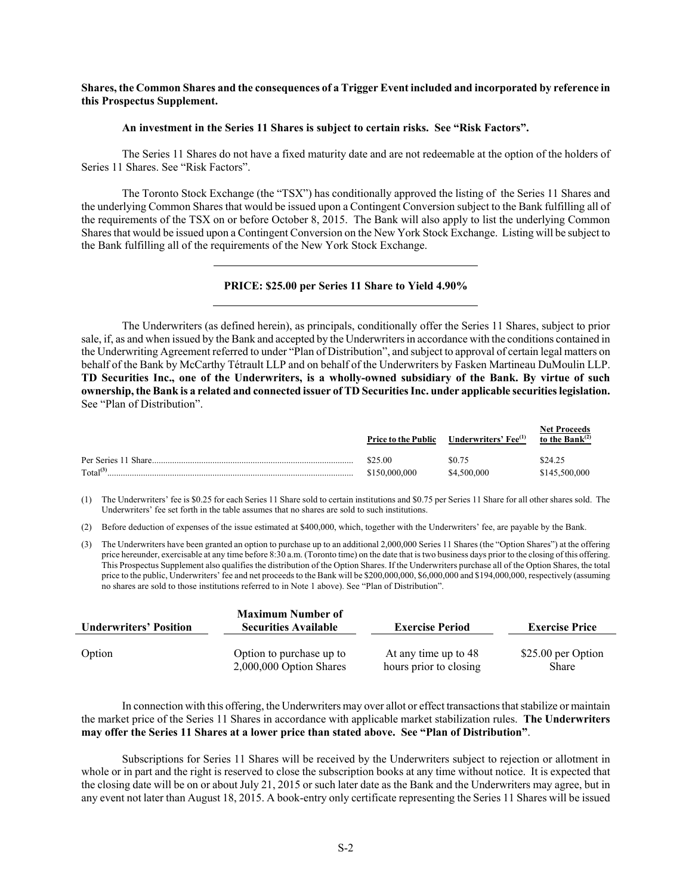# **Shares, the Common Shares and the consequences of a Trigger Event included and incorporated by reference in this Prospectus Supplement.**

#### **An investment in the Series 11 Shares is subject to certain risks. See "Risk Factors".**

The Series 11 Shares do not have a fixed maturity date and are not redeemable at the option of the holders of Series 11 Shares. See "Risk Factors".

The Toronto Stock Exchange (the "TSX") has conditionally approved the listing of the Series 11 Shares and the underlying Common Shares that would be issued upon a Contingent Conversion subject to the Bank fulfilling all of the requirements of the TSX on or before October 8, 2015. The Bank will also apply to list the underlying Common Shares that would be issued upon a Contingent Conversion on the New York Stock Exchange. Listing will be subject to the Bank fulfilling all of the requirements of the New York Stock Exchange.

# **PRICE: \$25.00 per Series 11 Share to Yield 4.90%**

The Underwriters (as defined herein), as principals, conditionally offer the Series 11 Shares, subject to prior sale, if, as and when issued by the Bank and accepted by the Underwriters in accordance with the conditions contained in the Underwriting Agreement referred to under "Plan of Distribution", and subject to approval of certain legal matters on behalf of the Bank by McCarthy Tétrault LLP and on behalf of the Underwriters by Fasken Martineau DuMoulin LLP. **TD Securities Inc., one of the Underwriters, is a wholly-owned subsidiary of the Bank. By virtue of such ownership, the Bank is a related and connected issuer of TD Securities Inc. under applicable securities legislation.**  See "Plan of Distribution".

|                      | <b>Price to the Public</b> | Underwriters' Fee <sup>(1)</sup> | <b>Net Proceeds</b><br>to the Bank $^{(2)}$ |
|----------------------|----------------------------|----------------------------------|---------------------------------------------|
| Per Series 11 Share  | \$25.00                    | SO 75                            | \$24.25                                     |
| Total <sup>(3)</sup> | \$150,000,000              | \$4,500,000                      | \$145,500,000                               |

(1) The Underwriters' fee is \$0.25 for each Series 11 Share sold to certain institutions and \$0.75 per Series 11 Share for all other shares sold. The Underwriters' fee set forth in the table assumes that no shares are sold to such institutions.

(2) Before deduction of expenses of the issue estimated at \$400,000, which, together with the Underwriters' fee, are payable by the Bank.

(3) The Underwriters have been granted an option to purchase up to an additional 2,000,000 Series 11 Shares (the "Option Shares") at the offering price hereunder, exercisable at any time before 8:30 a.m. (Toronto time) on the date that is two business days prior to the closing of this offering. This Prospectus Supplement also qualifies the distribution of the Option Shares. If the Underwriters purchase all of the Option Shares, the total price to the public, Underwriters' fee and net proceeds to the Bank will be \$200,000,000, \$6,000,000 and \$194,000,000, respectively (assuming no shares are sold to those institutions referred to in Note 1 above). See "Plan of Distribution".

| <b>Underwriters' Position</b> | <b>Maximum Number of</b><br><b>Securities Available</b> | <b>Exercise Period</b> | <b>Exercise Price</b> |  |  |
|-------------------------------|---------------------------------------------------------|------------------------|-----------------------|--|--|
| Option                        | Option to purchase up to                                | At any time up to 48   | \$25.00 per Option    |  |  |
|                               | $2,000,000$ Option Shares                               | hours prior to closing | <b>Share</b>          |  |  |

In connection with this offering, the Underwriters may over allot or effect transactions that stabilize or maintain the market price of the Series 11 Shares in accordance with applicable market stabilization rules. **The Underwriters may offer the Series 11 Shares at a lower price than stated above. See "Plan of Distribution"**.

Subscriptions for Series 11 Shares will be received by the Underwriters subject to rejection or allotment in whole or in part and the right is reserved to close the subscription books at any time without notice. It is expected that the closing date will be on or about July 21, 2015 or such later date as the Bank and the Underwriters may agree, but in any event not later than August 18, 2015. A book-entry only certificate representing the Series 11 Shares will be issued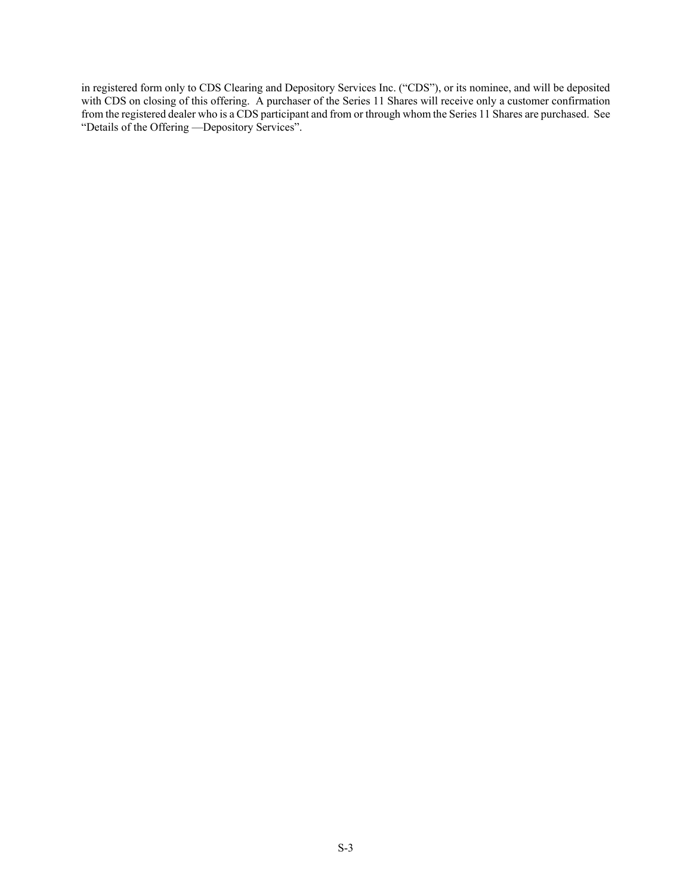in registered form only to CDS Clearing and Depository Services Inc. ("CDS"), or its nominee, and will be deposited with CDS on closing of this offering. A purchaser of the Series 11 Shares will receive only a customer confirmation from the registered dealer who is a CDS participant and from or through whom the Series 11 Shares are purchased. See "Details of the Offering —Depository Services".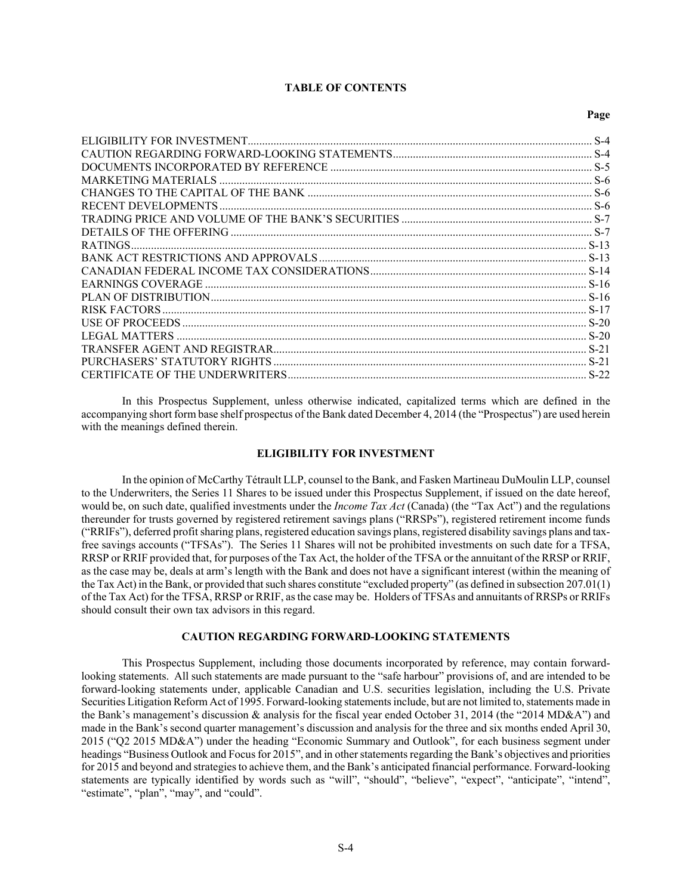### **TABLE OF CONTENTS**

#### **Page**

| <b>RATINGS</b>               |      |
|------------------------------|------|
|                              |      |
|                              |      |
|                              |      |
|                              |      |
|                              |      |
|                              |      |
| LEGAL MATTERS                |      |
|                              |      |
| PURCHASERS' STATUTORY RIGHTS | S-21 |
|                              |      |
|                              |      |

In this Prospectus Supplement, unless otherwise indicated, capitalized terms which are defined in the accompanying short form base shelf prospectus of the Bank dated December 4, 2014 (the "Prospectus") are used herein with the meanings defined therein.

### **ELIGIBILITY FOR INVESTMENT**

In the opinion of McCarthy Tétrault LLP, counsel to the Bank, and Fasken Martineau DuMoulin LLP, counsel to the Underwriters, the Series 11 Shares to be issued under this Prospectus Supplement, if issued on the date hereof, would be, on such date, qualified investments under the *Income Tax Act* (Canada) (the "Tax Act") and the regulations thereunder for trusts governed by registered retirement savings plans ("RRSPs"), registered retirement income funds ("RRIFs"), deferred profit sharing plans, registered education savings plans, registered disability savings plans and taxfree savings accounts ("TFSAs"). The Series 11 Shares will not be prohibited investments on such date for a TFSA, RRSP or RRIF provided that, for purposes of the Tax Act, the holder of the TFSA or the annuitant of the RRSP or RRIF, as the case may be, deals at arm's length with the Bank and does not have a significant interest (within the meaning of the Tax Act) in the Bank, or provided that such shares constitute "excluded property" (as defined in subsection 207.01(1) of the Tax Act) for the TFSA, RRSP or RRIF, as the case may be. Holders of TFSAs and annuitants of RRSPs or RRIFs should consult their own tax advisors in this regard.

# **CAUTION REGARDING FORWARD-LOOKING STATEMENTS**

This Prospectus Supplement, including those documents incorporated by reference, may contain forwardlooking statements. All such statements are made pursuant to the "safe harbour" provisions of, and are intended to be forward-looking statements under, applicable Canadian and U.S. securities legislation, including the U.S. Private Securities Litigation Reform Act of 1995. Forward-looking statements include, but are not limited to, statements made in the Bank's management's discussion & analysis for the fiscal year ended October 31, 2014 (the "2014 MD&A") and made in the Bank's second quarter management's discussion and analysis for the three and six months ended April 30, 2015 ("Q2 2015 MD&A") under the heading "Economic Summary and Outlook", for each business segment under headings "Business Outlook and Focus for 2015", and in other statements regarding the Bank's objectives and priorities for 2015 and beyond and strategies to achieve them, and the Bank's anticipated financial performance. Forward-looking statements are typically identified by words such as "will", "should", "believe", "expect", "anticipate", "intend", "estimate", "plan", "may", and "could".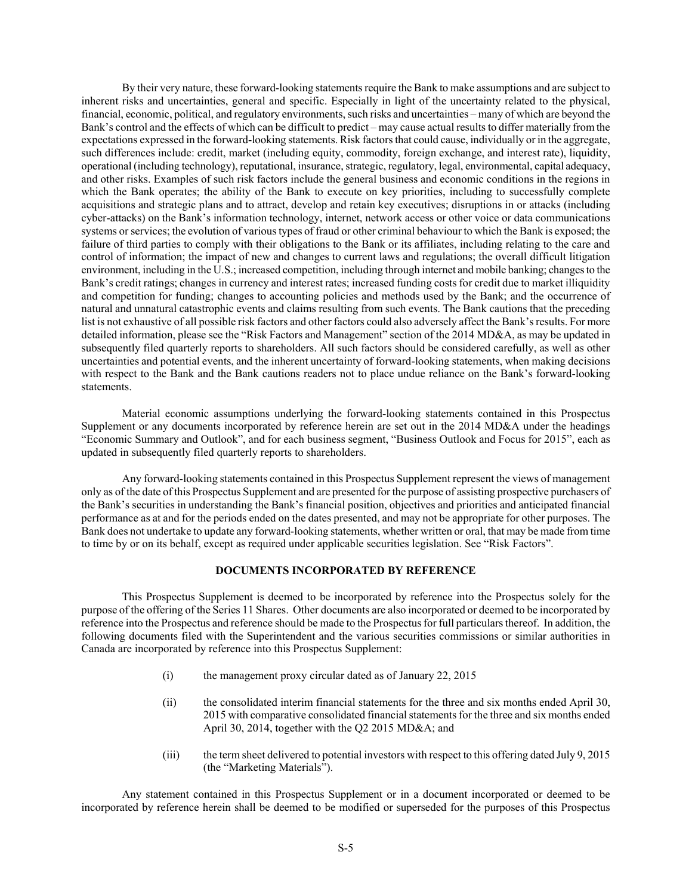By their very nature, these forward-looking statements require the Bank to make assumptions and are subject to inherent risks and uncertainties, general and specific. Especially in light of the uncertainty related to the physical, financial, economic, political, and regulatory environments, such risks and uncertainties – many of which are beyond the Bank's control and the effects of which can be difficult to predict – may cause actual results to differ materially from the expectations expressed in the forward-looking statements. Risk factors that could cause, individually or in the aggregate, such differences include: credit, market (including equity, commodity, foreign exchange, and interest rate), liquidity, operational (including technology), reputational, insurance, strategic, regulatory, legal, environmental, capital adequacy, and other risks. Examples of such risk factors include the general business and economic conditions in the regions in which the Bank operates; the ability of the Bank to execute on key priorities, including to successfully complete acquisitions and strategic plans and to attract, develop and retain key executives; disruptions in or attacks (including cyber-attacks) on the Bank's information technology, internet, network access or other voice or data communications systems or services; the evolution of various types of fraud or other criminal behaviour to which the Bank is exposed; the failure of third parties to comply with their obligations to the Bank or its affiliates, including relating to the care and control of information; the impact of new and changes to current laws and regulations; the overall difficult litigation environment, including in the U.S.; increased competition, including through internet and mobile banking; changes to the Bank's credit ratings; changes in currency and interest rates; increased funding costs for credit due to market illiquidity and competition for funding; changes to accounting policies and methods used by the Bank; and the occurrence of natural and unnatural catastrophic events and claims resulting from such events. The Bank cautions that the preceding list is not exhaustive of all possible risk factors and other factors could also adversely affect the Bank's results. For more detailed information, please see the "Risk Factors and Management" section of the 2014 MD&A, as may be updated in subsequently filed quarterly reports to shareholders. All such factors should be considered carefully, as well as other uncertainties and potential events, and the inherent uncertainty of forward-looking statements, when making decisions with respect to the Bank and the Bank cautions readers not to place undue reliance on the Bank's forward-looking statements.

Material economic assumptions underlying the forward-looking statements contained in this Prospectus Supplement or any documents incorporated by reference herein are set out in the 2014 MD&A under the headings "Economic Summary and Outlook", and for each business segment, "Business Outlook and Focus for 2015", each as updated in subsequently filed quarterly reports to shareholders.

Any forward-looking statements contained in this Prospectus Supplement represent the views of management only as of the date of this Prospectus Supplement and are presented for the purpose of assisting prospective purchasers of the Bank's securities in understanding the Bank's financial position, objectives and priorities and anticipated financial performance as at and for the periods ended on the dates presented, and may not be appropriate for other purposes. The Bank does not undertake to update any forward-looking statements, whether written or oral, that may be made from time to time by or on its behalf, except as required under applicable securities legislation. See "Risk Factors".

## **DOCUMENTS INCORPORATED BY REFERENCE**

This Prospectus Supplement is deemed to be incorporated by reference into the Prospectus solely for the purpose of the offering of the Series 11 Shares. Other documents are also incorporated or deemed to be incorporated by reference into the Prospectus and reference should be made to the Prospectus for full particulars thereof. In addition, the following documents filed with the Superintendent and the various securities commissions or similar authorities in Canada are incorporated by reference into this Prospectus Supplement:

- (i) the management proxy circular dated as of January 22, 2015
- (ii) the consolidated interim financial statements for the three and six months ended April 30, 2015 with comparative consolidated financial statements for the three and six months ended April 30, 2014, together with the Q2 2015 MD&A; and
- (iii) the term sheet delivered to potential investors with respect to this offering dated July 9, 2015 (the "Marketing Materials").

Any statement contained in this Prospectus Supplement or in a document incorporated or deemed to be incorporated by reference herein shall be deemed to be modified or superseded for the purposes of this Prospectus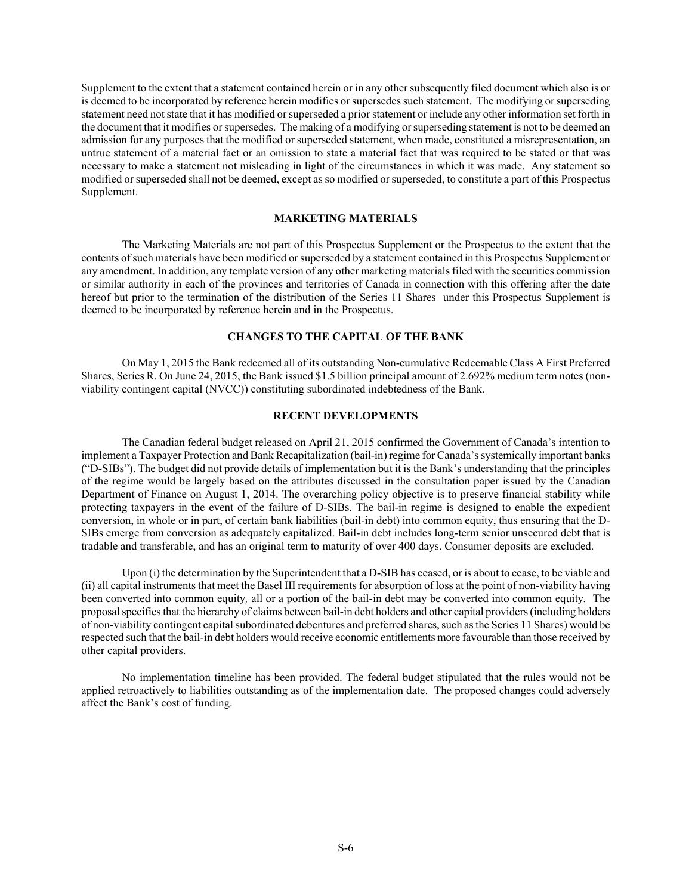Supplement to the extent that a statement contained herein or in any other subsequently filed document which also is or is deemed to be incorporated by reference herein modifies or supersedes such statement. The modifying or superseding statement need not state that it has modified or superseded a prior statement or include any other information set forth in the document that it modifies or supersedes. The making of a modifying or superseding statement is not to be deemed an admission for any purposes that the modified or superseded statement, when made, constituted a misrepresentation, an untrue statement of a material fact or an omission to state a material fact that was required to be stated or that was necessary to make a statement not misleading in light of the circumstances in which it was made. Any statement so modified or superseded shall not be deemed, except as so modified or superseded, to constitute a part of this Prospectus Supplement.

# **MARKETING MATERIALS**

The Marketing Materials are not part of this Prospectus Supplement or the Prospectus to the extent that the contents of such materials have been modified or superseded by a statement contained in this Prospectus Supplement or any amendment. In addition, any template version of any other marketing materials filed with the securities commission or similar authority in each of the provinces and territories of Canada in connection with this offering after the date hereof but prior to the termination of the distribution of the Series 11 Shares under this Prospectus Supplement is deemed to be incorporated by reference herein and in the Prospectus.

# **CHANGES TO THE CAPITAL OF THE BANK**

On May 1, 2015 the Bank redeemed all of its outstanding Non-cumulative Redeemable Class A First Preferred Shares, Series R. On June 24, 2015, the Bank issued \$1.5 billion principal amount of 2.692% medium term notes (nonviability contingent capital (NVCC)) constituting subordinated indebtedness of the Bank.

# **RECENT DEVELOPMENTS**

The Canadian federal budget released on April 21, 2015 confirmed the Government of Canada's intention to implement a Taxpayer Protection and Bank Recapitalization (bail-in) regime for Canada's systemically important banks ("D-SIBs"). The budget did not provide details of implementation but it is the Bank's understanding that the principles of the regime would be largely based on the attributes discussed in the consultation paper issued by the Canadian Department of Finance on August 1, 2014. The overarching policy objective is to preserve financial stability while protecting taxpayers in the event of the failure of D-SIBs. The bail-in regime is designed to enable the expedient conversion, in whole or in part, of certain bank liabilities (bail-in debt) into common equity, thus ensuring that the D-SIBs emerge from conversion as adequately capitalized. Bail-in debt includes long-term senior unsecured debt that is tradable and transferable, and has an original term to maturity of over 400 days. Consumer deposits are excluded.

Upon (i) the determination by the Superintendent that a D-SIB has ceased, or is about to cease, to be viable and (ii) all capital instruments that meet the Basel III requirements for absorption of loss at the point of non-viability having been converted into common equity*,* all or a portion of the bail-in debt may be converted into common equity*.* The proposal specifies that the hierarchy of claims between bail-in debt holders and other capital providers (including holders of non-viability contingent capital subordinated debentures and preferred shares, such as the Series 11 Shares) would be respected such that the bail-in debt holders would receive economic entitlements more favourable than those received by other capital providers.

No implementation timeline has been provided. The federal budget stipulated that the rules would not be applied retroactively to liabilities outstanding as of the implementation date. The proposed changes could adversely affect the Bank's cost of funding.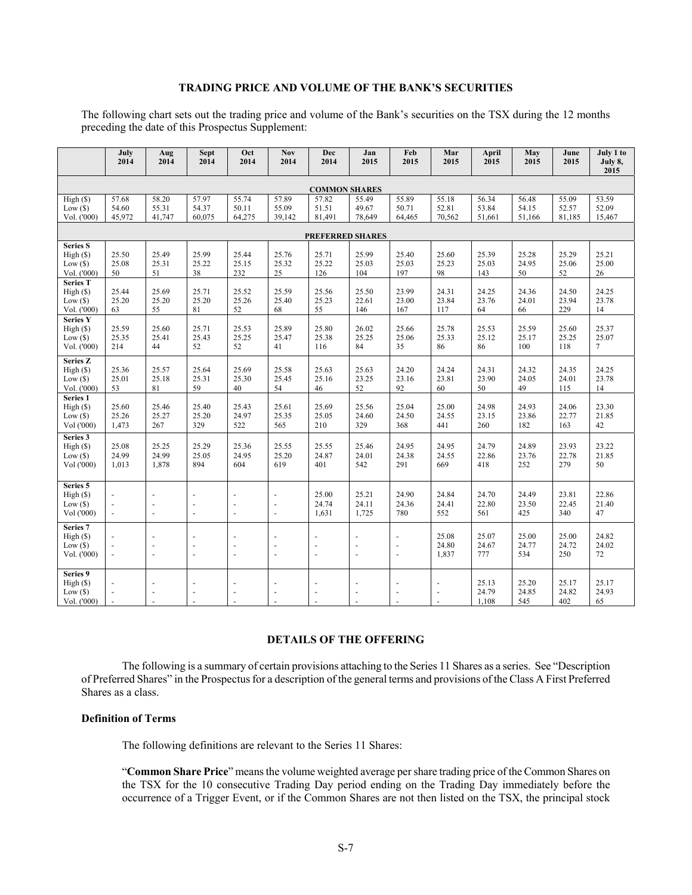# **TRADING PRICE AND VOLUME OF THE BANK'S SECURITIES**

The following chart sets out the trading price and volume of the Bank's securities on the TSX during the 12 months preceding the date of this Prospectus Supplement:

|                                                         | July<br>2014                                                   | Aug<br>2014                                  | <b>Sept</b><br>2014                              | Oct<br>2014              | <b>Nov</b><br>2014                                           | <b>Dec</b><br>2014             | Jan<br>2015                      | Feb<br>2015              | Mar<br>2015                                                    | April<br>2015            | May<br>2015              | June<br>2015             | July 1 to<br>July 8,<br>2015 |
|---------------------------------------------------------|----------------------------------------------------------------|----------------------------------------------|--------------------------------------------------|--------------------------|--------------------------------------------------------------|--------------------------------|----------------------------------|--------------------------|----------------------------------------------------------------|--------------------------|--------------------------|--------------------------|------------------------------|
| <b>COMMON SHARES</b>                                    |                                                                |                                              |                                                  |                          |                                                              |                                |                                  |                          |                                                                |                          |                          |                          |                              |
| High (\$)<br>$Low($ \$)<br>Vol. ('000)                  | 57.68<br>54.60<br>45,972                                       | 58.20<br>55.31<br>41,747                     | 57.97<br>54.37<br>60.075                         | 55.74<br>50.11<br>64,275 | 57.89<br>55.09<br>39,142                                     | 57.82<br>51.51<br>81,491       | 55.49<br>49.67<br>78,649         | 55.89<br>50.71<br>64,465 | 55.18<br>52.81<br>70,562                                       | 56.34<br>53.84<br>51,661 | 56.48<br>54.15<br>51,166 | 55.09<br>52.57<br>81,185 | 53.59<br>52.09<br>15,467     |
|                                                         | <b>PREFERRED SHARES</b>                                        |                                              |                                                  |                          |                                                              |                                |                                  |                          |                                                                |                          |                          |                          |                              |
| <b>Series S</b><br>High(S)<br>Low(\$)<br>Vol. ('000)    | 25.50<br>25.08<br>50                                           | 25.49<br>25.31<br>51                         | 25.99<br>25.22<br>38                             | 25.44<br>25.15<br>232    | 25.76<br>25.32<br>25                                         | 25.71<br>25.22<br>126          | 25.99<br>25.03<br>104            | 25.40<br>25.03<br>197    | 25.60<br>25.23<br>98                                           | 25.39<br>25.03<br>143    | 25.28<br>24.95<br>50     | 25.29<br>25.06<br>52     | 25.21<br>25.00<br>26         |
| <b>Series T</b><br>High(S)<br>Low(\$)<br>Vol. ('000)    | 25.44<br>25.20<br>63                                           | 25.69<br>25.20<br>55                         | 25.71<br>25.20<br>81                             | 25.52<br>25.26<br>52     | 25.59<br>25.40<br>68                                         | 25.56<br>25.23<br>55           | 25.50<br>22.61<br>146            | 23.99<br>23.00<br>167    | 24.31<br>23.84<br>117                                          | 24.25<br>23.76<br>64     | 24.36<br>24.01<br>66     | 24.50<br>23.94<br>229    | 24.25<br>23.78<br>14         |
| <b>Series Y</b><br>High(S)<br>Low(S)<br>Vol. ('000)     | 25.59<br>25.35<br>214                                          | 25.60<br>25.41<br>44                         | 25.71<br>25.43<br>52                             | 25.53<br>25.25<br>52     | 25.89<br>25.47<br>41                                         | 25.80<br>25.38<br>116          | 26.02<br>25.25<br>84             | 25.66<br>25.06<br>35     | 25.78<br>25.33<br>86                                           | 25.53<br>25.12<br>86     | 25.59<br>25.17<br>100    | 25.60<br>25.25<br>118    | 25.37<br>25.07<br>$\tau$     |
| Series Z<br>High(S)<br>$Low($ \$)<br>Vol. ('000)        | 25.36<br>25.01<br>53                                           | 25.57<br>25.18<br>81                         | 25.64<br>25.31<br>59                             | 25.69<br>25.30<br>40     | 25.58<br>25.45<br>54                                         | 25.63<br>25.16<br>46           | 25.63<br>23.25<br>52             | 24.20<br>23.16<br>92     | 24.24<br>23.81<br>60                                           | 24.31<br>23.90<br>50     | 24.32<br>24.05<br>49     | 24.35<br>24.01<br>115    | 24.25<br>23.78<br>14         |
| Series <sub>1</sub><br>High(S)<br>Low(S)<br>Vol ('000)  | 25.60<br>25.26<br>1,473                                        | 25.46<br>25.27<br>267                        | 25.40<br>25.20<br>329                            | 25.43<br>24.97<br>522    | 25.61<br>25.35<br>565                                        | 25.69<br>25.05<br>210          | 25.56<br>24.60<br>329            | 25.04<br>24.50<br>368    | 25.00<br>24.55<br>441                                          | 24.98<br>23.15<br>260    | 24.93<br>23.86<br>182    | 24.06<br>22.77<br>163    | 23.30<br>21.85<br>42         |
| Series 3<br>High(S)<br>Low(S)<br>Vol ('000)             | 25.08<br>24.99<br>1,013                                        | 25.25<br>24.99<br>1,878                      | 25.29<br>25.05<br>894                            | 25.36<br>24.95<br>604    | 25.55<br>25.20<br>619                                        | 25.55<br>24.87<br>401          | 25.46<br>24.01<br>542            | 24.95<br>24.38<br>291    | 24.95<br>24.55<br>669                                          | 24.79<br>22.86<br>418    | 24.89<br>23.76<br>252    | 23.93<br>22.78<br>279    | 23.22<br>21.85<br>50         |
| Series 5<br>High(S)<br>Low(S)<br>Vol ('000)             | $\sim$<br>$\sim$                                               | $\overline{\phantom{a}}$<br>L.               | ÷,<br>$\overline{\phantom{a}}$<br>$\overline{a}$ | $\sim$<br>L.             | $\overline{a}$<br>$\blacksquare$<br>$\overline{\phantom{a}}$ | 25.00<br>24.74<br>1,631        | 25.21<br>24.11<br>1,725          | 24.90<br>24.36<br>780    | 24.84<br>24.41<br>552                                          | 24.70<br>22.80<br>561    | 24.49<br>23.50<br>425    | 23.81<br>22.45<br>340    | 22.86<br>21.40<br>47         |
| Series <sub>7</sub><br>High(S)<br>Low(S)<br>Vol. ('000) | $\overline{\phantom{a}}$<br>$\overline{\phantom{a}}$<br>$\sim$ | ÷.<br>$\overline{\phantom{a}}$               | ÷,<br>L.<br>$\bar{\phantom{a}}$                  | ä,                       | ä,<br>÷.<br>L.                                               | ÷.<br>$\overline{a}$           | $\overline{a}$<br>$\overline{a}$ | $\mathbf{r}$             | 25.08<br>24.80<br>1,837                                        | 25.07<br>24.67<br>777    | 25.00<br>24.77<br>534    | 25.00<br>24.72<br>250    | 24.82<br>24.02<br>72         |
| Series 9<br>High(S)<br>Low(S)<br>Vol. ('000)            | $\overline{a}$<br>$\overline{a}$                               | $\ddot{\phantom{1}}$<br>$\overline{a}$<br>÷. | $\sim$<br>$\blacksquare$<br>$\sim$               | $\overline{a}$           | $\overline{a}$<br>$\overline{a}$<br>÷.                       | ÷.<br>$\sim$<br>$\overline{a}$ | $\overline{a}$                   | $\overline{\phantom{a}}$ | $\sim$<br>$\overline{\phantom{a}}$<br>$\overline{\phantom{a}}$ | 25.13<br>24.79<br>1,108  | 25.20<br>24.85<br>545    | 25.17<br>24.82<br>402    | 25.17<br>24.93<br>65         |

# **DETAILS OF THE OFFERING**

The following is a summary of certain provisions attaching to the Series 11 Shares as a series. See "Description of Preferred Shares" in the Prospectus for a description of the general terms and provisions of the Class A First Preferred Shares as a class.

# **Definition of Terms**

The following definitions are relevant to the Series 11 Shares:

"**Common Share Price**" means the volume weighted average per share trading price of the Common Shares on the TSX for the 10 consecutive Trading Day period ending on the Trading Day immediately before the occurrence of a Trigger Event, or if the Common Shares are not then listed on the TSX, the principal stock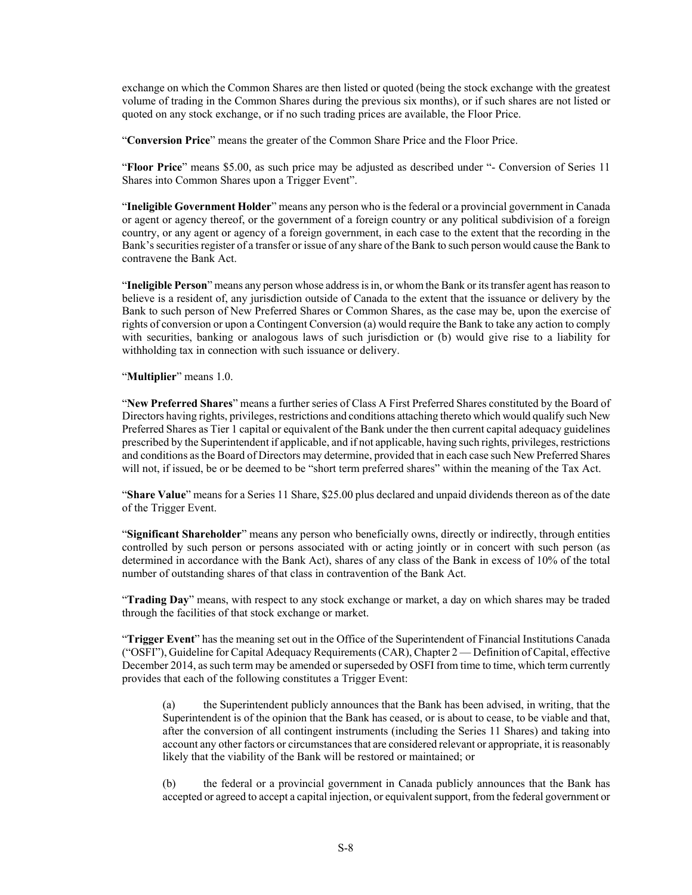exchange on which the Common Shares are then listed or quoted (being the stock exchange with the greatest volume of trading in the Common Shares during the previous six months), or if such shares are not listed or quoted on any stock exchange, or if no such trading prices are available, the Floor Price.

"**Conversion Price**" means the greater of the Common Share Price and the Floor Price.

"**Floor Price**" means \$5.00, as such price may be adjusted as described under "- Conversion of Series 11 Shares into Common Shares upon a Trigger Event".

"**Ineligible Government Holder**" means any person who is the federal or a provincial government in Canada or agent or agency thereof, or the government of a foreign country or any political subdivision of a foreign country, or any agent or agency of a foreign government, in each case to the extent that the recording in the Bank's securities register of a transfer or issue of any share of the Bank to such person would cause the Bank to contravene the Bank Act.

"**Ineligible Person**" means any person whose address is in, or whom the Bank or its transfer agent has reason to believe is a resident of, any jurisdiction outside of Canada to the extent that the issuance or delivery by the Bank to such person of New Preferred Shares or Common Shares, as the case may be, upon the exercise of rights of conversion or upon a Contingent Conversion (a) would require the Bank to take any action to comply with securities, banking or analogous laws of such jurisdiction or (b) would give rise to a liability for withholding tax in connection with such issuance or delivery.

"**Multiplier**" means 1.0.

"**New Preferred Shares**" means a further series of Class A First Preferred Shares constituted by the Board of Directors having rights, privileges, restrictions and conditions attaching thereto which would qualify such New Preferred Shares as Tier 1 capital or equivalent of the Bank under the then current capital adequacy guidelines prescribed by the Superintendent if applicable, and if not applicable, having such rights, privileges, restrictions and conditions as the Board of Directors may determine, provided that in each case such New Preferred Shares will not, if issued, be or be deemed to be "short term preferred shares" within the meaning of the Tax Act.

"**Share Value**" means for a Series 11 Share, \$25.00 plus declared and unpaid dividends thereon as of the date of the Trigger Event.

"**Significant Shareholder**" means any person who beneficially owns, directly or indirectly, through entities controlled by such person or persons associated with or acting jointly or in concert with such person (as determined in accordance with the Bank Act), shares of any class of the Bank in excess of 10% of the total number of outstanding shares of that class in contravention of the Bank Act.

"**Trading Day**" means, with respect to any stock exchange or market, a day on which shares may be traded through the facilities of that stock exchange or market.

"**Trigger Event**" has the meaning set out in the Office of the Superintendent of Financial Institutions Canada ("OSFI"), Guideline for Capital Adequacy Requirements (CAR), Chapter 2 — Definition of Capital, effective December 2014, as such term may be amended or superseded by OSFI from time to time, which term currently provides that each of the following constitutes a Trigger Event:

(a) the Superintendent publicly announces that the Bank has been advised, in writing, that the Superintendent is of the opinion that the Bank has ceased, or is about to cease, to be viable and that, after the conversion of all contingent instruments (including the Series 11 Shares) and taking into account any other factors or circumstances that are considered relevant or appropriate, it is reasonably likely that the viability of the Bank will be restored or maintained; or

(b) the federal or a provincial government in Canada publicly announces that the Bank has accepted or agreed to accept a capital injection, or equivalent support, from the federal government or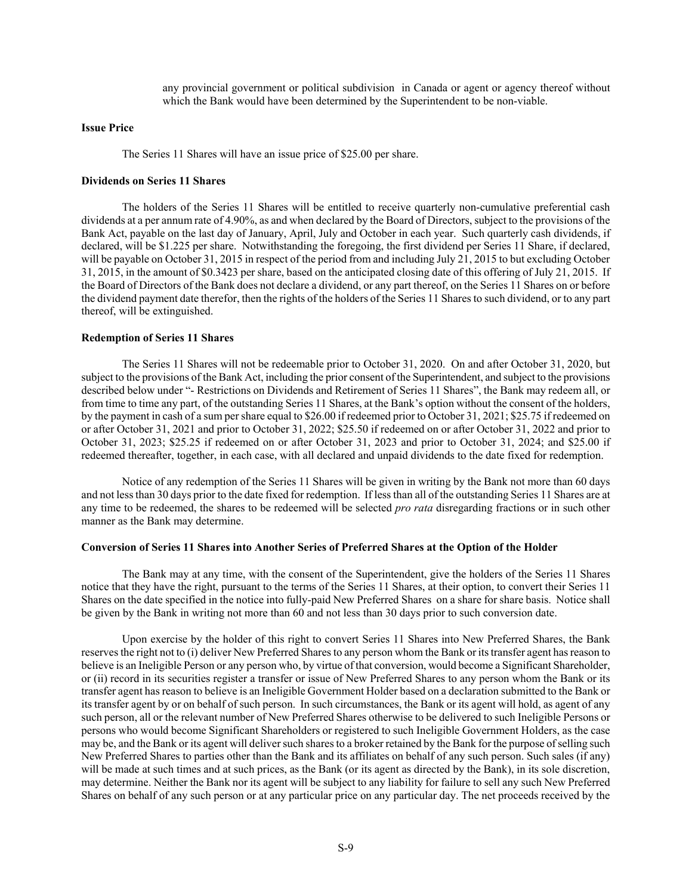any provincial government or political subdivision in Canada or agent or agency thereof without which the Bank would have been determined by the Superintendent to be non-viable.

#### **Issue Price**

The Series 11 Shares will have an issue price of \$25.00 per share.

#### **Dividends on Series 11 Shares**

The holders of the Series 11 Shares will be entitled to receive quarterly non-cumulative preferential cash dividends at a per annum rate of 4.90%, as and when declared by the Board of Directors, subject to the provisions of the Bank Act, payable on the last day of January, April, July and October in each year. Such quarterly cash dividends, if declared, will be \$1.225 per share. Notwithstanding the foregoing, the first dividend per Series 11 Share, if declared, will be payable on October 31, 2015 in respect of the period from and including July 21, 2015 to but excluding October 31, 2015, in the amount of \$0.3423 per share, based on the anticipated closing date of this offering of July 21, 2015. If the Board of Directors of the Bank does not declare a dividend, or any part thereof, on the Series 11 Shares on or before the dividend payment date therefor, then the rights of the holders of the Series 11 Shares to such dividend, or to any part thereof, will be extinguished.

## **Redemption of Series 11 Shares**

The Series 11 Shares will not be redeemable prior to October 31, 2020. On and after October 31, 2020, but subject to the provisions of the Bank Act, including the prior consent of the Superintendent, and subject to the provisions described below under "- Restrictions on Dividends and Retirement of Series 11 Shares", the Bank may redeem all, or from time to time any part, of the outstanding Series 11 Shares, at the Bank's option without the consent of the holders, by the payment in cash of a sum per share equal to \$26.00 if redeemed prior to October 31, 2021; \$25.75 if redeemed on or after October 31, 2021 and prior to October 31, 2022; \$25.50 if redeemed on or after October 31, 2022 and prior to October 31, 2023; \$25.25 if redeemed on or after October 31, 2023 and prior to October 31, 2024; and \$25.00 if redeemed thereafter, together, in each case, with all declared and unpaid dividends to the date fixed for redemption.

Notice of any redemption of the Series 11 Shares will be given in writing by the Bank not more than 60 days and not less than 30 days prior to the date fixed for redemption. If less than all of the outstanding Series 11 Shares are at any time to be redeemed, the shares to be redeemed will be selected *pro rata* disregarding fractions or in such other manner as the Bank may determine.

#### **Conversion of Series 11 Shares into Another Series of Preferred Shares at the Option of the Holder**

The Bank may at any time, with the consent of the Superintendent, give the holders of the Series 11 Shares notice that they have the right, pursuant to the terms of the Series 11 Shares, at their option, to convert their Series 11 Shares on the date specified in the notice into fully-paid New Preferred Shares on a share for share basis. Notice shall be given by the Bank in writing not more than 60 and not less than 30 days prior to such conversion date.

Upon exercise by the holder of this right to convert Series 11 Shares into New Preferred Shares, the Bank reserves the right not to (i) deliver New Preferred Shares to any person whom the Bank or its transfer agent has reason to believe is an Ineligible Person or any person who, by virtue of that conversion, would become a Significant Shareholder, or (ii) record in its securities register a transfer or issue of New Preferred Shares to any person whom the Bank or its transfer agent has reason to believe is an Ineligible Government Holder based on a declaration submitted to the Bank or its transfer agent by or on behalf of such person. In such circumstances, the Bank or its agent will hold, as agent of any such person, all or the relevant number of New Preferred Shares otherwise to be delivered to such Ineligible Persons or persons who would become Significant Shareholders or registered to such Ineligible Government Holders, as the case may be, and the Bank or its agent will deliver such shares to a broker retained by the Bank for the purpose of selling such New Preferred Shares to parties other than the Bank and its affiliates on behalf of any such person. Such sales (if any) will be made at such times and at such prices, as the Bank (or its agent as directed by the Bank), in its sole discretion, may determine. Neither the Bank nor its agent will be subject to any liability for failure to sell any such New Preferred Shares on behalf of any such person or at any particular price on any particular day. The net proceeds received by the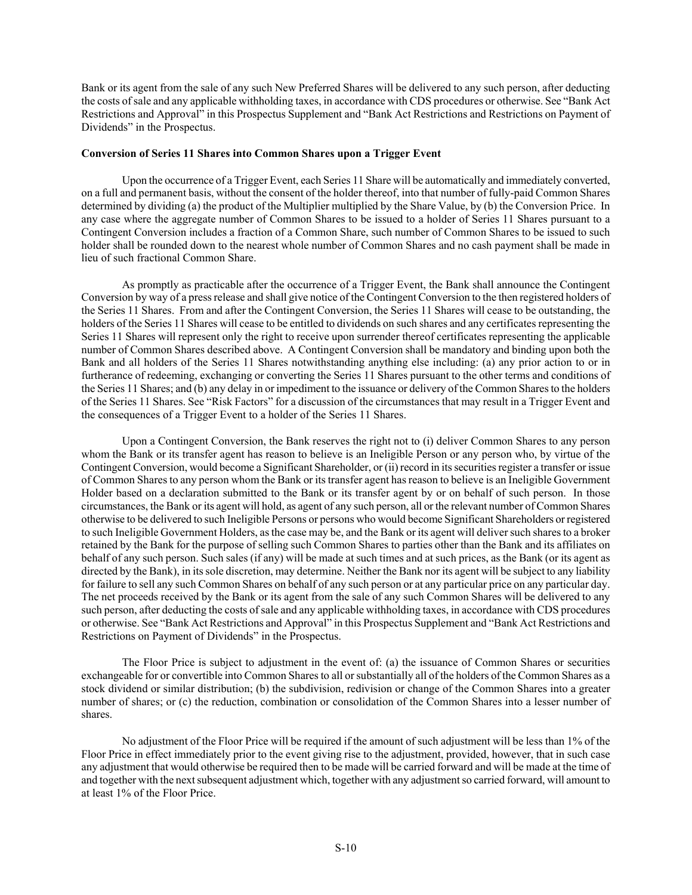Bank or its agent from the sale of any such New Preferred Shares will be delivered to any such person, after deducting the costs of sale and any applicable withholding taxes, in accordance with CDS procedures or otherwise. See "Bank Act Restrictions and Approval" in this Prospectus Supplement and "Bank Act Restrictions and Restrictions on Payment of Dividends" in the Prospectus.

### **Conversion of Series 11 Shares into Common Shares upon a Trigger Event**

Upon the occurrence of a Trigger Event, each Series 11 Share will be automatically and immediately converted, on a full and permanent basis, without the consent of the holder thereof, into that number of fully-paid Common Shares determined by dividing (a) the product of the Multiplier multiplied by the Share Value, by (b) the Conversion Price. In any case where the aggregate number of Common Shares to be issued to a holder of Series 11 Shares pursuant to a Contingent Conversion includes a fraction of a Common Share, such number of Common Shares to be issued to such holder shall be rounded down to the nearest whole number of Common Shares and no cash payment shall be made in lieu of such fractional Common Share.

As promptly as practicable after the occurrence of a Trigger Event, the Bank shall announce the Contingent Conversion by way of a press release and shall give notice of the Contingent Conversion to the then registered holders of the Series 11 Shares. From and after the Contingent Conversion, the Series 11 Shares will cease to be outstanding, the holders of the Series 11 Shares will cease to be entitled to dividends on such shares and any certificates representing the Series 11 Shares will represent only the right to receive upon surrender thereof certificates representing the applicable number of Common Shares described above. A Contingent Conversion shall be mandatory and binding upon both the Bank and all holders of the Series 11 Shares notwithstanding anything else including: (a) any prior action to or in furtherance of redeeming, exchanging or converting the Series 11 Shares pursuant to the other terms and conditions of the Series 11 Shares; and (b) any delay in or impediment to the issuance or delivery of the Common Shares to the holders of the Series 11 Shares. See "Risk Factors" for a discussion of the circumstances that may result in a Trigger Event and the consequences of a Trigger Event to a holder of the Series 11 Shares.

Upon a Contingent Conversion, the Bank reserves the right not to (i) deliver Common Shares to any person whom the Bank or its transfer agent has reason to believe is an Ineligible Person or any person who, by virtue of the Contingent Conversion, would become a Significant Shareholder, or (ii) record in its securities register a transfer or issue of Common Shares to any person whom the Bank or its transfer agent has reason to believe is an Ineligible Government Holder based on a declaration submitted to the Bank or its transfer agent by or on behalf of such person. In those circumstances, the Bank or its agent will hold, as agent of any such person, all or the relevant number of Common Shares otherwise to be delivered to such Ineligible Persons or persons who would become Significant Shareholders or registered to such Ineligible Government Holders, as the case may be, and the Bank or its agent will deliver such shares to a broker retained by the Bank for the purpose of selling such Common Shares to parties other than the Bank and its affiliates on behalf of any such person. Such sales (if any) will be made at such times and at such prices, as the Bank (or its agent as directed by the Bank), in its sole discretion, may determine. Neither the Bank nor its agent will be subject to any liability for failure to sell any such Common Shares on behalf of any such person or at any particular price on any particular day. The net proceeds received by the Bank or its agent from the sale of any such Common Shares will be delivered to any such person, after deducting the costs of sale and any applicable withholding taxes, in accordance with CDS procedures or otherwise. See "Bank Act Restrictions and Approval" in this Prospectus Supplement and "Bank Act Restrictions and Restrictions on Payment of Dividends" in the Prospectus.

The Floor Price is subject to adjustment in the event of: (a) the issuance of Common Shares or securities exchangeable for or convertible into Common Shares to all or substantially all of the holders of the Common Shares as a stock dividend or similar distribution; (b) the subdivision, redivision or change of the Common Shares into a greater number of shares; or (c) the reduction, combination or consolidation of the Common Shares into a lesser number of shares.

No adjustment of the Floor Price will be required if the amount of such adjustment will be less than 1% of the Floor Price in effect immediately prior to the event giving rise to the adjustment, provided, however, that in such case any adjustment that would otherwise be required then to be made will be carried forward and will be made at the time of and together with the next subsequent adjustment which, together with any adjustment so carried forward, will amount to at least 1% of the Floor Price.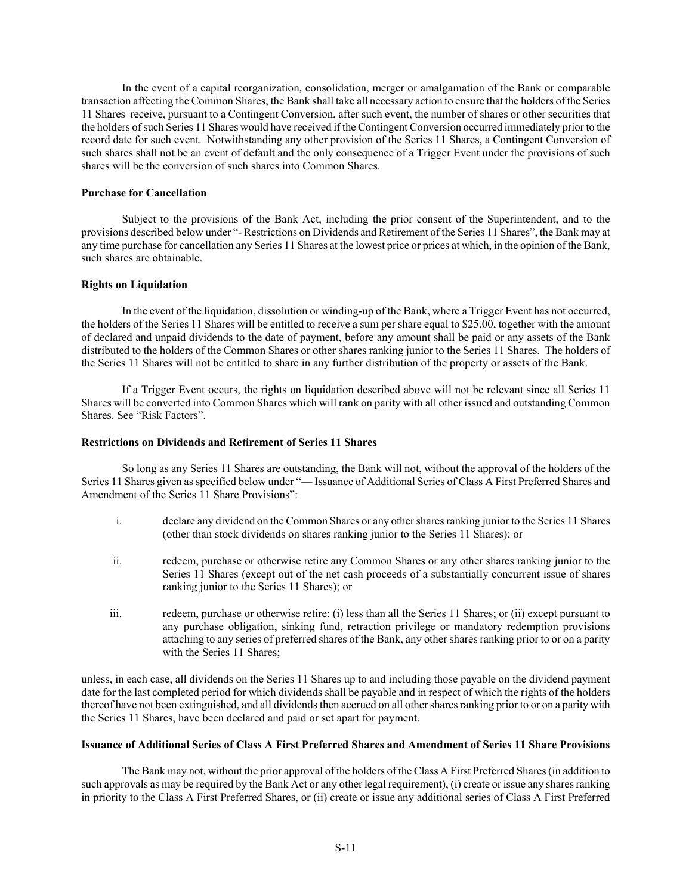In the event of a capital reorganization, consolidation, merger or amalgamation of the Bank or comparable transaction affecting the Common Shares, the Bank shall take all necessary action to ensure that the holders of the Series 11 Shares receive, pursuant to a Contingent Conversion, after such event, the number of shares or other securities that the holders of such Series 11 Shares would have received if the Contingent Conversion occurred immediately prior to the record date for such event. Notwithstanding any other provision of the Series 11 Shares, a Contingent Conversion of such shares shall not be an event of default and the only consequence of a Trigger Event under the provisions of such shares will be the conversion of such shares into Common Shares.

# **Purchase for Cancellation**

Subject to the provisions of the Bank Act, including the prior consent of the Superintendent, and to the provisions described below under "- Restrictions on Dividends and Retirement of the Series 11 Shares", the Bank may at any time purchase for cancellation any Series 11 Shares at the lowest price or prices at which, in the opinion of the Bank, such shares are obtainable.

# **Rights on Liquidation**

In the event of the liquidation, dissolution or winding-up of the Bank, where a Trigger Event has not occurred, the holders of the Series 11 Shares will be entitled to receive a sum per share equal to \$25.00, together with the amount of declared and unpaid dividends to the date of payment, before any amount shall be paid or any assets of the Bank distributed to the holders of the Common Shares or other shares ranking junior to the Series 11 Shares. The holders of the Series 11 Shares will not be entitled to share in any further distribution of the property or assets of the Bank.

If a Trigger Event occurs, the rights on liquidation described above will not be relevant since all Series 11 Shares will be converted into Common Shares which will rank on parity with all other issued and outstanding Common Shares. See "Risk Factors".

### **Restrictions on Dividends and Retirement of Series 11 Shares**

So long as any Series 11 Shares are outstanding, the Bank will not, without the approval of the holders of the Series 11 Shares given as specified below under "— Issuance of Additional Series of Class A First Preferred Shares and Amendment of the Series 11 Share Provisions":

- i. declare any dividend on the Common Shares or any other shares ranking junior to the Series 11 Shares (other than stock dividends on shares ranking junior to the Series 11 Shares); or
- ii. redeem, purchase or otherwise retire any Common Shares or any other shares ranking junior to the Series 11 Shares (except out of the net cash proceeds of a substantially concurrent issue of shares ranking junior to the Series 11 Shares); or
- iii. redeem, purchase or otherwise retire: (i) less than all the Series 11 Shares; or (ii) except pursuant to any purchase obligation, sinking fund, retraction privilege or mandatory redemption provisions attaching to any series of preferred shares of the Bank, any other shares ranking prior to or on a parity with the Series 11 Shares;

unless, in each case, all dividends on the Series 11 Shares up to and including those payable on the dividend payment date for the last completed period for which dividends shall be payable and in respect of which the rights of the holders thereof have not been extinguished, and all dividends then accrued on all other shares ranking prior to or on a parity with the Series 11 Shares, have been declared and paid or set apart for payment.

# **Issuance of Additional Series of Class A First Preferred Shares and Amendment of Series 11 Share Provisions**

The Bank may not, without the prior approval of the holders of the Class A First Preferred Shares (in addition to such approvals as may be required by the Bank Act or any other legal requirement), (i) create or issue any shares ranking in priority to the Class A First Preferred Shares, or (ii) create or issue any additional series of Class A First Preferred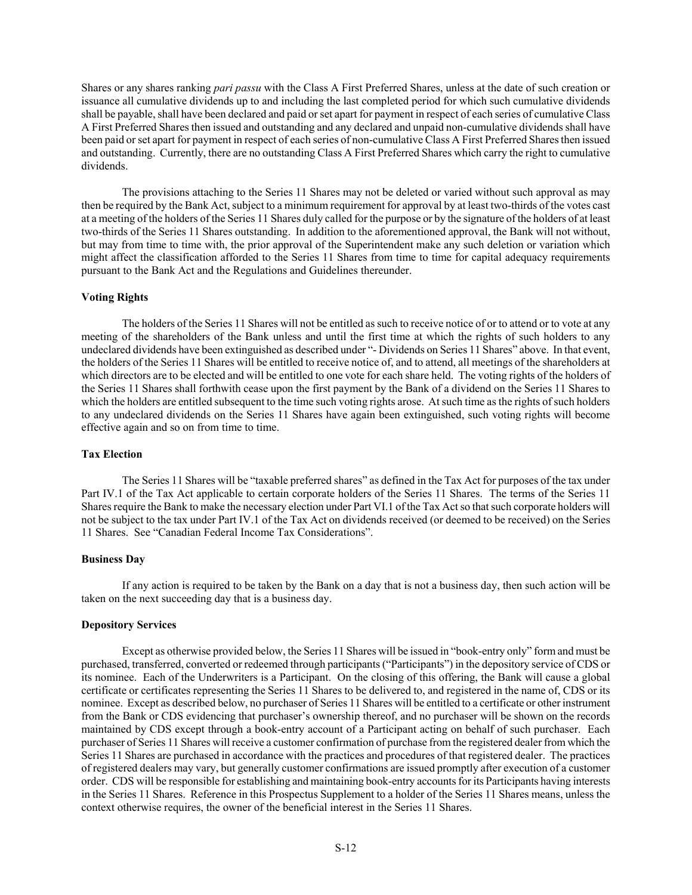Shares or any shares ranking *pari passu* with the Class A First Preferred Shares, unless at the date of such creation or issuance all cumulative dividends up to and including the last completed period for which such cumulative dividends shall be payable, shall have been declared and paid or set apart for payment in respect of each series of cumulative Class A First Preferred Shares then issued and outstanding and any declared and unpaid non-cumulative dividends shall have been paid or set apart for payment in respect of each series of non-cumulative Class A First Preferred Shares then issued and outstanding. Currently, there are no outstanding Class A First Preferred Shares which carry the right to cumulative dividends.

The provisions attaching to the Series 11 Shares may not be deleted or varied without such approval as may then be required by the Bank Act, subject to a minimum requirement for approval by at least two-thirds of the votes cast at a meeting of the holders of the Series 11 Shares duly called for the purpose or by the signature of the holders of at least two-thirds of the Series 11 Shares outstanding. In addition to the aforementioned approval, the Bank will not without, but may from time to time with, the prior approval of the Superintendent make any such deletion or variation which might affect the classification afforded to the Series 11 Shares from time to time for capital adequacy requirements pursuant to the Bank Act and the Regulations and Guidelines thereunder.

# **Voting Rights**

The holders of the Series 11 Shares will not be entitled as such to receive notice of or to attend or to vote at any meeting of the shareholders of the Bank unless and until the first time at which the rights of such holders to any undeclared dividends have been extinguished as described under "- Dividends on Series 11 Shares" above. In that event, the holders of the Series 11 Shares will be entitled to receive notice of, and to attend, all meetings of the shareholders at which directors are to be elected and will be entitled to one vote for each share held. The voting rights of the holders of the Series 11 Shares shall forthwith cease upon the first payment by the Bank of a dividend on the Series 11 Shares to which the holders are entitled subsequent to the time such voting rights arose. At such time as the rights of such holders to any undeclared dividends on the Series 11 Shares have again been extinguished, such voting rights will become effective again and so on from time to time.

# **Tax Election**

The Series 11 Shares will be "taxable preferred shares" as defined in the Tax Act for purposes of the tax under Part IV.1 of the Tax Act applicable to certain corporate holders of the Series 11 Shares. The terms of the Series 11 Shares require the Bank to make the necessary election under Part VI.1 of the Tax Act so that such corporate holders will not be subject to the tax under Part IV.1 of the Tax Act on dividends received (or deemed to be received) on the Series 11 Shares. See "Canadian Federal Income Tax Considerations".

## **Business Day**

 If any action is required to be taken by the Bank on a day that is not a business day, then such action will be taken on the next succeeding day that is a business day.

# **Depository Services**

Except as otherwise provided below, the Series 11 Shares will be issued in "book-entry only" form and must be purchased, transferred, converted or redeemed through participants ("Participants") in the depository service of CDS or its nominee. Each of the Underwriters is a Participant. On the closing of this offering, the Bank will cause a global certificate or certificates representing the Series 11 Shares to be delivered to, and registered in the name of, CDS or its nominee. Except as described below, no purchaser of Series 11 Shares will be entitled to a certificate or other instrument from the Bank or CDS evidencing that purchaser's ownership thereof, and no purchaser will be shown on the records maintained by CDS except through a book-entry account of a Participant acting on behalf of such purchaser. Each purchaser of Series 11 Shares will receive a customer confirmation of purchase from the registered dealer from which the Series 11 Shares are purchased in accordance with the practices and procedures of that registered dealer. The practices of registered dealers may vary, but generally customer confirmations are issued promptly after execution of a customer order. CDS will be responsible for establishing and maintaining book-entry accounts for its Participants having interests in the Series 11 Shares. Reference in this Prospectus Supplement to a holder of the Series 11 Shares means, unless the context otherwise requires, the owner of the beneficial interest in the Series 11 Shares.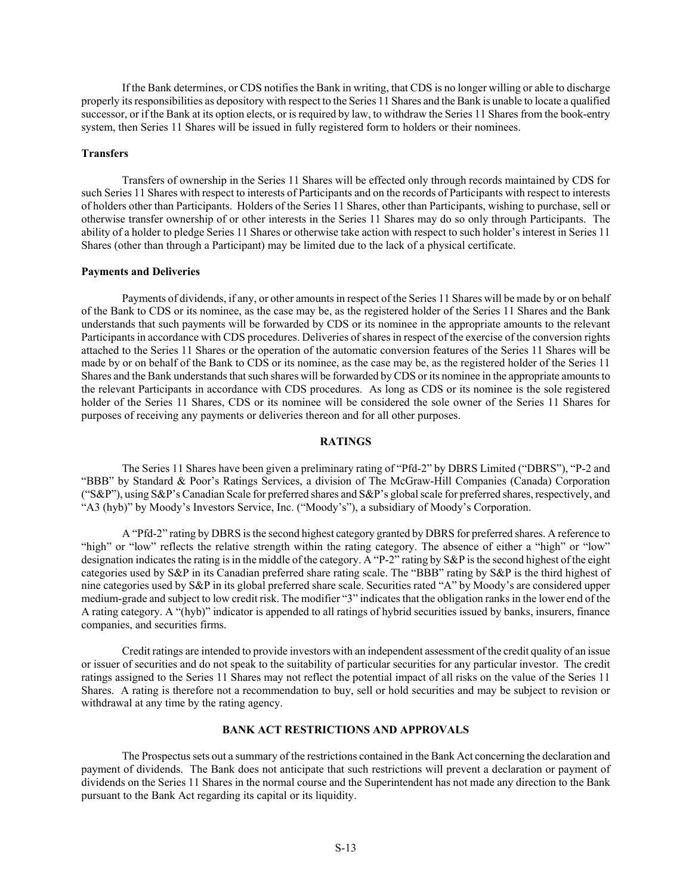If the Bank determines, or CDS notifies the Bank in writing, that CDS is no longer willing or able to discharge properly its responsibilities as depository with respect to the Series 11 Shares and the Bank is unable to locate a qualified successor, or if the Bank at its option elects, or is required by law, to withdraw the Series 11 Shares from the book-entry system, then Series 11 Shares will be issued in fully registered form to holders or their nominees.

#### **Transfers**

Transfers of ownership in the Series 11 Shares will be effected only through records maintained by CDS for such Series 11 Shares with respect to interests of Participants and on the records of Participants with respect to interests of holders other than Participants. Holders of the Series 11 Shares, other than Participants, wishing to purchase, sell or otherwise transfer ownership of or other interests in the Series 11 Shares may do so only through Participants. The ability of a holder to pledge Series 11 Shares or otherwise take action with respect to such holder's interest in Series 11 Shares (other than through a Participant) may be limited due to the lack of a physical certificate.

#### **Payments and Deliveries**

Payments of dividends, if any, or other amounts in respect of the Series 11 Shares will be made by or on behalf of the Bank to CDS or its nominee, as the case may be, as the registered holder of the Series 11 Shares and the Bank understands that such payments will be forwarded by CDS or its nominee in the appropriate amounts to the relevant Participants in accordance with CDS procedures. Deliveries of shares in respect of the exercise of the conversion rights attached to the Series 11 Shares or the operation of the automatic conversion features of the Series 11 Shares will be made by or on behalf of the Bank to CDS or its nominee, as the case may be, as the registered holder of the Series 11 Shares and the Bank understands that such shares will be forwarded by CDS or its nominee in the appropriate amounts to the relevant Participants in accordance with CDS procedures. As long as CDS or its nominee is the sole registered holder of the Series 11 Shares, CDS or its nominee will be considered the sole owner of the Series 11 Shares for purposes of receiving any payments or deliveries thereon and for all other purposes.

# **RATINGS**

The Series 11 Shares have been given a preliminary rating of "Pfd-2" by DBRS Limited ("DBRS"), "P-2 and "BBB" by Standard & Poor's Ratings Services, a division of The McGraw-Hill Companies (Canada) Corporation ("S&P"), using S&P's Canadian Scale for preferred shares and S&P's global scale for preferred shares, respectively, and "A3 (hyb)" by Moody's Investors Service, Inc. ("Moody's"), a subsidiary of Moody's Corporation.

A "Pfd-2" rating by DBRS is the second highest category granted by DBRS for preferred shares. A reference to "high" or "low" reflects the relative strength within the rating category. The absence of either a "high" or "low" designation indicates the rating is in the middle of the category. A "P-2" rating by S&P is the second highest of the eight categories used by S&P in its Canadian preferred share rating scale. The "BBB" rating by S&P is the third highest of nine categories used by S&P in its global preferred share scale. Securities rated "A" by Moody's are considered upper medium-grade and subject to low credit risk. The modifier "3" indicates that the obligation ranks in the lower end of the A rating category. A "(hyb)" indicator is appended to all ratings of hybrid securities issued by banks, insurers, finance companies, and securities firms.

Credit ratings are intended to provide investors with an independent assessment of the credit quality of an issue or issuer of securities and do not speak to the suitability of particular securities for any particular investor. The credit ratings assigned to the Series 11 Shares may not reflect the potential impact of all risks on the value of the Series 11 Shares. A rating is therefore not a recommendation to buy, sell or hold securities and may be subject to revision or withdrawal at any time by the rating agency.

## **BANK ACT RESTRICTIONS AND APPROVALS**

The Prospectus sets out a summary of the restrictions contained in the Bank Act concerning the declaration and payment of dividends. The Bank does not anticipate that such restrictions will prevent a declaration or payment of dividends on the Series 11 Shares in the normal course and the Superintendent has not made any direction to the Bank pursuant to the Bank Act regarding its capital or its liquidity.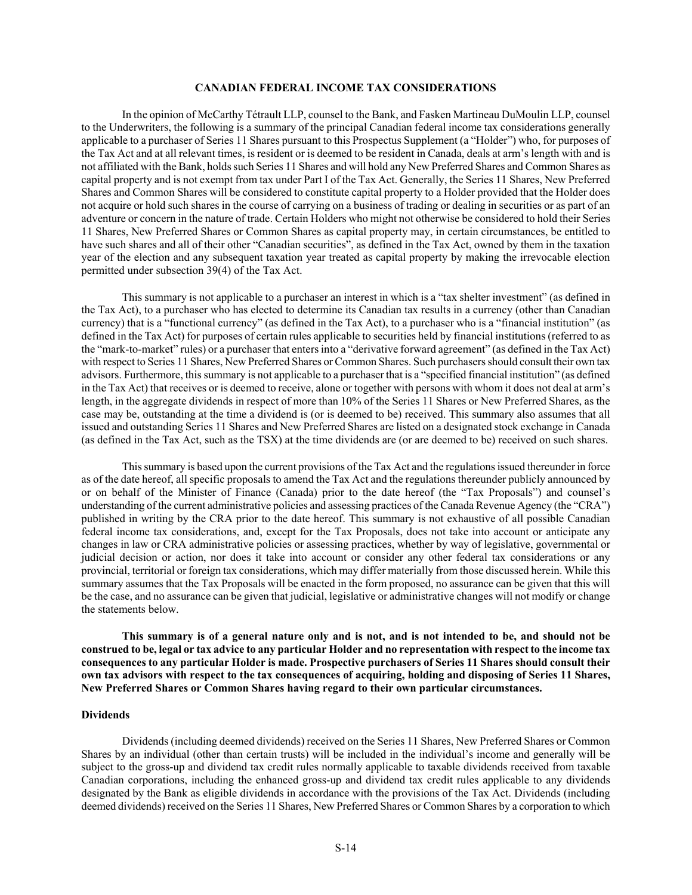# **CANADIAN FEDERAL INCOME TAX CONSIDERATIONS**

In the opinion of McCarthy Tétrault LLP, counsel to the Bank, and Fasken Martineau DuMoulin LLP, counsel to the Underwriters, the following is a summary of the principal Canadian federal income tax considerations generally applicable to a purchaser of Series 11 Shares pursuant to this Prospectus Supplement (a "Holder") who, for purposes of the Tax Act and at all relevant times, is resident or is deemed to be resident in Canada, deals at arm's length with and is not affiliated with the Bank, holds such Series 11 Shares and will hold any New Preferred Shares and Common Shares as capital property and is not exempt from tax under Part I of the Tax Act. Generally, the Series 11 Shares, New Preferred Shares and Common Shares will be considered to constitute capital property to a Holder provided that the Holder does not acquire or hold such shares in the course of carrying on a business of trading or dealing in securities or as part of an adventure or concern in the nature of trade. Certain Holders who might not otherwise be considered to hold their Series 11 Shares, New Preferred Shares or Common Shares as capital property may, in certain circumstances, be entitled to have such shares and all of their other "Canadian securities", as defined in the Tax Act, owned by them in the taxation year of the election and any subsequent taxation year treated as capital property by making the irrevocable election permitted under subsection 39(4) of the Tax Act.

This summary is not applicable to a purchaser an interest in which is a "tax shelter investment" (as defined in the Tax Act), to a purchaser who has elected to determine its Canadian tax results in a currency (other than Canadian currency) that is a "functional currency" (as defined in the Tax Act), to a purchaser who is a "financial institution" (as defined in the Tax Act) for purposes of certain rules applicable to securities held by financial institutions (referred to as the "mark-to-market" rules) or a purchaser that enters into a "derivative forward agreement" (as defined in the Tax Act) with respect to Series 11 Shares, New Preferred Shares or Common Shares. Such purchasers should consult their own tax advisors. Furthermore, this summary is not applicable to a purchaser that is a "specified financial institution" (as defined in the Tax Act) that receives or is deemed to receive, alone or together with persons with whom it does not deal at arm's length, in the aggregate dividends in respect of more than 10% of the Series 11 Shares or New Preferred Shares, as the case may be, outstanding at the time a dividend is (or is deemed to be) received. This summary also assumes that all issued and outstanding Series 11 Shares and New Preferred Shares are listed on a designated stock exchange in Canada (as defined in the Tax Act, such as the TSX) at the time dividends are (or are deemed to be) received on such shares.

This summary is based upon the current provisions of the Tax Act and the regulations issued thereunder in force as of the date hereof, all specific proposals to amend the Tax Act and the regulations thereunder publicly announced by or on behalf of the Minister of Finance (Canada) prior to the date hereof (the "Tax Proposals") and counsel's understanding of the current administrative policies and assessing practices of the Canada Revenue Agency (the "CRA") published in writing by the CRA prior to the date hereof. This summary is not exhaustive of all possible Canadian federal income tax considerations, and, except for the Tax Proposals, does not take into account or anticipate any changes in law or CRA administrative policies or assessing practices, whether by way of legislative, governmental or judicial decision or action, nor does it take into account or consider any other federal tax considerations or any provincial, territorial or foreign tax considerations, which may differ materially from those discussed herein. While this summary assumes that the Tax Proposals will be enacted in the form proposed, no assurance can be given that this will be the case, and no assurance can be given that judicial, legislative or administrative changes will not modify or change the statements below.

**This summary is of a general nature only and is not, and is not intended to be, and should not be construed to be, legal or tax advice to any particular Holder and no representation with respect to the income tax consequences to any particular Holder is made. Prospective purchasers of Series 11 Shares should consult their own tax advisors with respect to the tax consequences of acquiring, holding and disposing of Series 11 Shares, New Preferred Shares or Common Shares having regard to their own particular circumstances.** 

#### **Dividends**

Dividends (including deemed dividends) received on the Series 11 Shares, New Preferred Shares or Common Shares by an individual (other than certain trusts) will be included in the individual's income and generally will be subject to the gross-up and dividend tax credit rules normally applicable to taxable dividends received from taxable Canadian corporations, including the enhanced gross-up and dividend tax credit rules applicable to any dividends designated by the Bank as eligible dividends in accordance with the provisions of the Tax Act. Dividends (including deemed dividends) received on the Series 11 Shares, New Preferred Shares or Common Shares by a corporation to which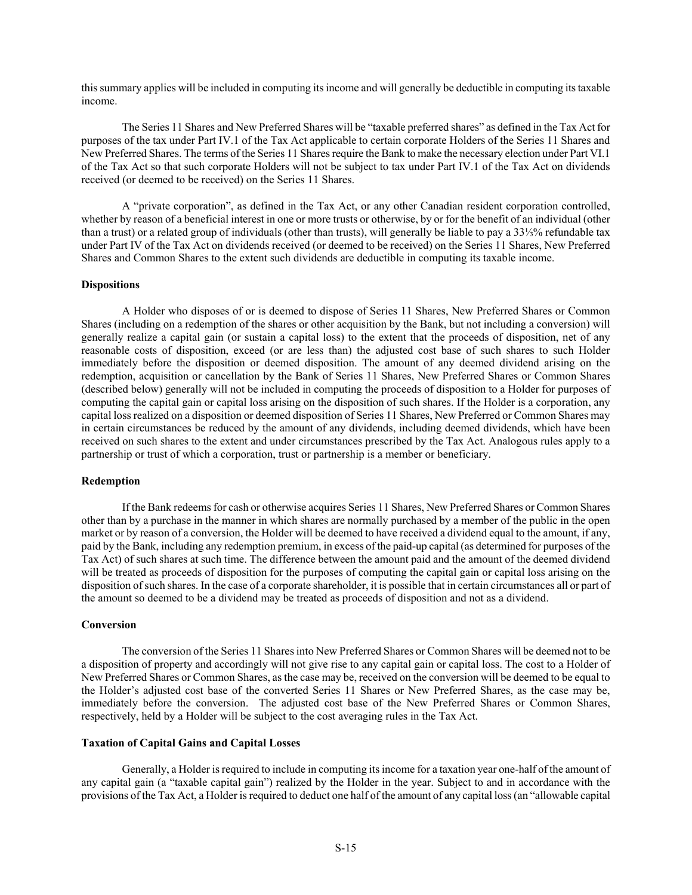this summary applies will be included in computing its income and will generally be deductible in computing its taxable income.

The Series 11 Shares and New Preferred Shares will be "taxable preferred shares" as defined in the Tax Act for purposes of the tax under Part IV.1 of the Tax Act applicable to certain corporate Holders of the Series 11 Shares and New Preferred Shares. The terms of the Series 11 Shares require the Bank to make the necessary election under Part VI.1 of the Tax Act so that such corporate Holders will not be subject to tax under Part IV.1 of the Tax Act on dividends received (or deemed to be received) on the Series 11 Shares.

A "private corporation", as defined in the Tax Act, or any other Canadian resident corporation controlled, whether by reason of a beneficial interest in one or more trusts or otherwise, by or for the benefit of an individual (other than a trust) or a related group of individuals (other than trusts), will generally be liable to pay a 33⅓% refundable tax under Part IV of the Tax Act on dividends received (or deemed to be received) on the Series 11 Shares, New Preferred Shares and Common Shares to the extent such dividends are deductible in computing its taxable income.

#### **Dispositions**

A Holder who disposes of or is deemed to dispose of Series 11 Shares, New Preferred Shares or Common Shares (including on a redemption of the shares or other acquisition by the Bank, but not including a conversion) will generally realize a capital gain (or sustain a capital loss) to the extent that the proceeds of disposition, net of any reasonable costs of disposition, exceed (or are less than) the adjusted cost base of such shares to such Holder immediately before the disposition or deemed disposition. The amount of any deemed dividend arising on the redemption, acquisition or cancellation by the Bank of Series 11 Shares, New Preferred Shares or Common Shares (described below) generally will not be included in computing the proceeds of disposition to a Holder for purposes of computing the capital gain or capital loss arising on the disposition of such shares. If the Holder is a corporation, any capital loss realized on a disposition or deemed disposition of Series 11 Shares, New Preferred or Common Shares may in certain circumstances be reduced by the amount of any dividends, including deemed dividends, which have been received on such shares to the extent and under circumstances prescribed by the Tax Act. Analogous rules apply to a partnership or trust of which a corporation, trust or partnership is a member or beneficiary.

### **Redemption**

If the Bank redeems for cash or otherwise acquires Series 11 Shares, New Preferred Shares or Common Shares other than by a purchase in the manner in which shares are normally purchased by a member of the public in the open market or by reason of a conversion, the Holder will be deemed to have received a dividend equal to the amount, if any, paid by the Bank, including any redemption premium, in excess of the paid-up capital (as determined for purposes of the Tax Act) of such shares at such time. The difference between the amount paid and the amount of the deemed dividend will be treated as proceeds of disposition for the purposes of computing the capital gain or capital loss arising on the disposition of such shares. In the case of a corporate shareholder, it is possible that in certain circumstances all or part of the amount so deemed to be a dividend may be treated as proceeds of disposition and not as a dividend.

### **Conversion**

The conversion of the Series 11 Shares into New Preferred Shares or Common Shares will be deemed not to be a disposition of property and accordingly will not give rise to any capital gain or capital loss. The cost to a Holder of New Preferred Shares or Common Shares, as the case may be, received on the conversion will be deemed to be equal to the Holder's adjusted cost base of the converted Series 11 Shares or New Preferred Shares, as the case may be, immediately before the conversion. The adjusted cost base of the New Preferred Shares or Common Shares, respectively, held by a Holder will be subject to the cost averaging rules in the Tax Act.

### **Taxation of Capital Gains and Capital Losses**

Generally, a Holder is required to include in computing its income for a taxation year one-half of the amount of any capital gain (a "taxable capital gain") realized by the Holder in the year. Subject to and in accordance with the provisions of the Tax Act, a Holder is required to deduct one half of the amount of any capital loss (an "allowable capital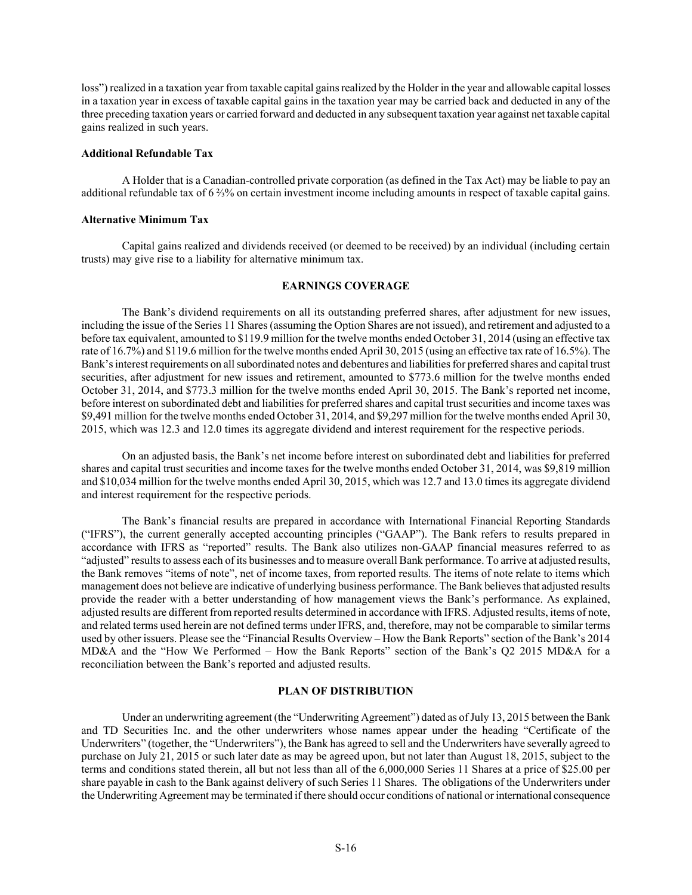loss") realized in a taxation year from taxable capital gains realized by the Holder in the year and allowable capital losses in a taxation year in excess of taxable capital gains in the taxation year may be carried back and deducted in any of the three preceding taxation years or carried forward and deducted in any subsequent taxation year against net taxable capital gains realized in such years.

#### **Additional Refundable Tax**

A Holder that is a Canadian-controlled private corporation (as defined in the Tax Act) may be liable to pay an additional refundable tax of 6 ⅔% on certain investment income including amounts in respect of taxable capital gains.

#### **Alternative Minimum Tax**

Capital gains realized and dividends received (or deemed to be received) by an individual (including certain trusts) may give rise to a liability for alternative minimum tax.

# **EARNINGS COVERAGE**

The Bank's dividend requirements on all its outstanding preferred shares, after adjustment for new issues, including the issue of the Series 11 Shares (assuming the Option Shares are not issued), and retirement and adjusted to a before tax equivalent, amounted to \$119.9 million for the twelve months ended October 31, 2014 (using an effective tax rate of 16.7%) and \$119.6 million for the twelve months ended April 30, 2015 (using an effective tax rate of 16.5%). The Bank's interest requirements on all subordinated notes and debentures and liabilities for preferred shares and capital trust securities, after adjustment for new issues and retirement, amounted to \$773.6 million for the twelve months ended October 31, 2014, and \$773.3 million for the twelve months ended April 30, 2015. The Bank's reported net income, before interest on subordinated debt and liabilities for preferred shares and capital trust securities and income taxes was \$9,491 million for the twelve months ended October 31, 2014, and \$9,297 million for the twelve months ended April 30, 2015, which was 12.3 and 12.0 times its aggregate dividend and interest requirement for the respective periods.

On an adjusted basis, the Bank's net income before interest on subordinated debt and liabilities for preferred shares and capital trust securities and income taxes for the twelve months ended October 31, 2014, was \$9,819 million and \$10,034 million for the twelve months ended April 30, 2015, which was 12.7 and 13.0 times its aggregate dividend and interest requirement for the respective periods.

The Bank's financial results are prepared in accordance with International Financial Reporting Standards ("IFRS"), the current generally accepted accounting principles ("GAAP"). The Bank refers to results prepared in accordance with IFRS as "reported" results. The Bank also utilizes non-GAAP financial measures referred to as "adjusted" results to assess each of its businesses and to measure overall Bank performance. To arrive at adjusted results, the Bank removes "items of note", net of income taxes, from reported results. The items of note relate to items which management does not believe are indicative of underlying business performance. The Bank believes that adjusted results provide the reader with a better understanding of how management views the Bank's performance. As explained, adjusted results are different from reported results determined in accordance with IFRS. Adjusted results, items of note, and related terms used herein are not defined terms under IFRS, and, therefore, may not be comparable to similar terms used by other issuers. Please see the "Financial Results Overview – How the Bank Reports" section of the Bank's 2014 MD&A and the "How We Performed – How the Bank Reports" section of the Bank's Q2 2015 MD&A for a reconciliation between the Bank's reported and adjusted results.

# **PLAN OF DISTRIBUTION**

Under an underwriting agreement (the "Underwriting Agreement") dated as of July 13, 2015 between the Bank and TD Securities Inc. and the other underwriters whose names appear under the heading "Certificate of the Underwriters" (together, the "Underwriters"), the Bank has agreed to sell and the Underwriters have severally agreed to purchase on July 21, 2015 or such later date as may be agreed upon, but not later than August 18, 2015, subject to the terms and conditions stated therein, all but not less than all of the 6,000,000 Series 11 Shares at a price of \$25.00 per share payable in cash to the Bank against delivery of such Series 11 Shares. The obligations of the Underwriters under the Underwriting Agreement may be terminated if there should occur conditions of national or international consequence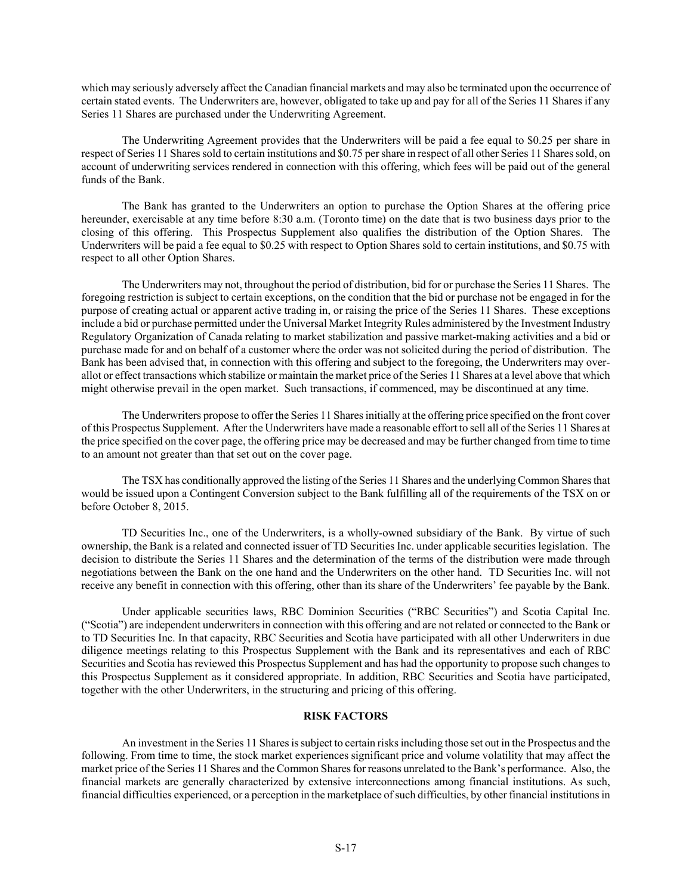which may seriously adversely affect the Canadian financial markets and may also be terminated upon the occurrence of certain stated events. The Underwriters are, however, obligated to take up and pay for all of the Series 11 Shares if any Series 11 Shares are purchased under the Underwriting Agreement.

The Underwriting Agreement provides that the Underwriters will be paid a fee equal to \$0.25 per share in respect of Series 11 Shares sold to certain institutions and \$0.75 per share in respect of all other Series 11 Shares sold, on account of underwriting services rendered in connection with this offering, which fees will be paid out of the general funds of the Bank.

The Bank has granted to the Underwriters an option to purchase the Option Shares at the offering price hereunder, exercisable at any time before 8:30 a.m. (Toronto time) on the date that is two business days prior to the closing of this offering. This Prospectus Supplement also qualifies the distribution of the Option Shares. The Underwriters will be paid a fee equal to \$0.25 with respect to Option Shares sold to certain institutions, and \$0.75 with respect to all other Option Shares.

The Underwriters may not, throughout the period of distribution, bid for or purchase the Series 11 Shares. The foregoing restriction is subject to certain exceptions, on the condition that the bid or purchase not be engaged in for the purpose of creating actual or apparent active trading in, or raising the price of the Series 11 Shares. These exceptions include a bid or purchase permitted under the Universal Market Integrity Rules administered by the Investment Industry Regulatory Organization of Canada relating to market stabilization and passive market-making activities and a bid or purchase made for and on behalf of a customer where the order was not solicited during the period of distribution. The Bank has been advised that, in connection with this offering and subject to the foregoing, the Underwriters may overallot or effect transactions which stabilize or maintain the market price of the Series 11 Shares at a level above that which might otherwise prevail in the open market. Such transactions, if commenced, may be discontinued at any time.

The Underwriters propose to offer the Series 11 Shares initially at the offering price specified on the front cover of this Prospectus Supplement. After the Underwriters have made a reasonable effort to sell all of the Series 11 Shares at the price specified on the cover page, the offering price may be decreased and may be further changed from time to time to an amount not greater than that set out on the cover page.

The TSX has conditionally approved the listing of the Series 11 Shares and the underlying Common Shares that would be issued upon a Contingent Conversion subject to the Bank fulfilling all of the requirements of the TSX on or before October 8, 2015.

TD Securities Inc., one of the Underwriters, is a wholly-owned subsidiary of the Bank. By virtue of such ownership, the Bank is a related and connected issuer of TD Securities Inc. under applicable securities legislation. The decision to distribute the Series 11 Shares and the determination of the terms of the distribution were made through negotiations between the Bank on the one hand and the Underwriters on the other hand. TD Securities Inc. will not receive any benefit in connection with this offering, other than its share of the Underwriters' fee payable by the Bank.

Under applicable securities laws, RBC Dominion Securities ("RBC Securities") and Scotia Capital Inc. ("Scotia") are independent underwriters in connection with this offering and are not related or connected to the Bank or to TD Securities Inc. In that capacity, RBC Securities and Scotia have participated with all other Underwriters in due diligence meetings relating to this Prospectus Supplement with the Bank and its representatives and each of RBC Securities and Scotia has reviewed this Prospectus Supplement and has had the opportunity to propose such changes to this Prospectus Supplement as it considered appropriate. In addition, RBC Securities and Scotia have participated, together with the other Underwriters, in the structuring and pricing of this offering.

## **RISK FACTORS**

An investment in the Series 11 Shares is subject to certain risks including those set out in the Prospectus and the following. From time to time, the stock market experiences significant price and volume volatility that may affect the market price of the Series 11 Shares and the Common Shares for reasons unrelated to the Bank's performance. Also, the financial markets are generally characterized by extensive interconnections among financial institutions. As such, financial difficulties experienced, or a perception in the marketplace of such difficulties, by other financial institutions in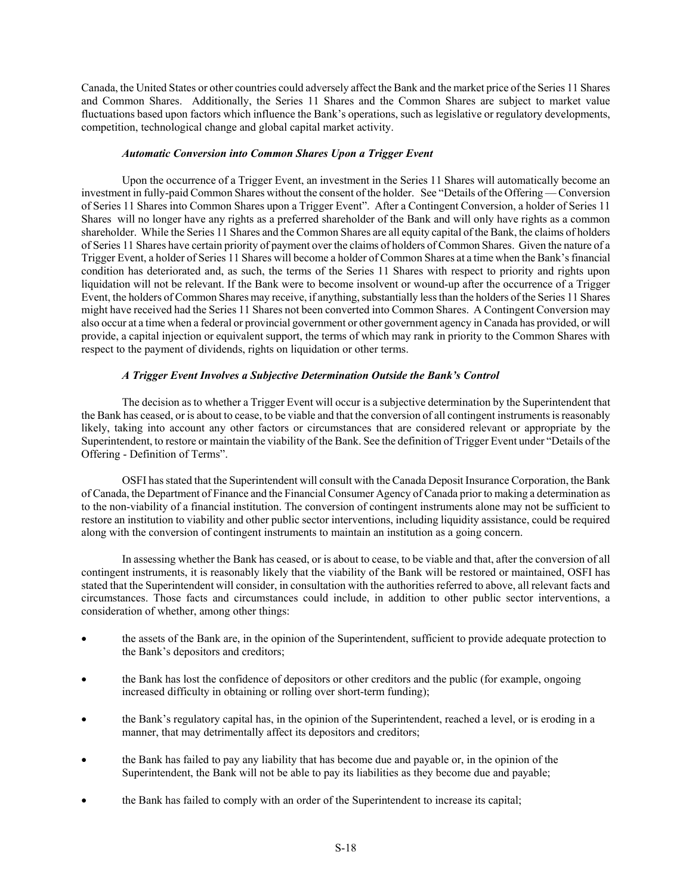Canada, the United States or other countries could adversely affect the Bank and the market price of the Series 11 Shares and Common Shares. Additionally, the Series 11 Shares and the Common Shares are subject to market value fluctuations based upon factors which influence the Bank's operations, such as legislative or regulatory developments, competition, technological change and global capital market activity.

## *Automatic Conversion into Common Shares Upon a Trigger Event*

Upon the occurrence of a Trigger Event, an investment in the Series 11 Shares will automatically become an investment in fully-paid Common Shares without the consent of the holder. See "Details of the Offering — Conversion of Series 11 Shares into Common Shares upon a Trigger Event". After a Contingent Conversion, a holder of Series 11 Shares will no longer have any rights as a preferred shareholder of the Bank and will only have rights as a common shareholder. While the Series 11 Shares and the Common Shares are all equity capital of the Bank, the claims of holders of Series 11 Shares have certain priority of payment over the claims of holders of Common Shares. Given the nature of a Trigger Event, a holder of Series 11 Shares will become a holder of Common Shares at a time when the Bank's financial condition has deteriorated and, as such, the terms of the Series 11 Shares with respect to priority and rights upon liquidation will not be relevant. If the Bank were to become insolvent or wound-up after the occurrence of a Trigger Event, the holders of Common Shares may receive, if anything, substantially less than the holders of the Series 11 Shares might have received had the Series 11 Shares not been converted into Common Shares. A Contingent Conversion may also occur at a time when a federal or provincial government or other government agency in Canada has provided, or will provide, a capital injection or equivalent support, the terms of which may rank in priority to the Common Shares with respect to the payment of dividends, rights on liquidation or other terms.

# *A Trigger Event Involves a Subjective Determination Outside the Bank's Control*

The decision as to whether a Trigger Event will occur is a subjective determination by the Superintendent that the Bank has ceased, or is about to cease, to be viable and that the conversion of all contingent instruments is reasonably likely, taking into account any other factors or circumstances that are considered relevant or appropriate by the Superintendent, to restore or maintain the viability of the Bank. See the definition of Trigger Event under "Details of the Offering - Definition of Terms".

OSFI has stated that the Superintendent will consult with the Canada Deposit Insurance Corporation, the Bank of Canada, the Department of Finance and the Financial Consumer Agency of Canada prior to making a determination as to the non-viability of a financial institution. The conversion of contingent instruments alone may not be sufficient to restore an institution to viability and other public sector interventions, including liquidity assistance, could be required along with the conversion of contingent instruments to maintain an institution as a going concern.

In assessing whether the Bank has ceased, or is about to cease, to be viable and that, after the conversion of all contingent instruments, it is reasonably likely that the viability of the Bank will be restored or maintained, OSFI has stated that the Superintendent will consider, in consultation with the authorities referred to above, all relevant facts and circumstances. Those facts and circumstances could include, in addition to other public sector interventions, a consideration of whether, among other things:

- the assets of the Bank are, in the opinion of the Superintendent, sufficient to provide adequate protection to the Bank's depositors and creditors;
- the Bank has lost the confidence of depositors or other creditors and the public (for example, ongoing increased difficulty in obtaining or rolling over short-term funding);
- the Bank's regulatory capital has, in the opinion of the Superintendent, reached a level, or is eroding in a manner, that may detrimentally affect its depositors and creditors;
- the Bank has failed to pay any liability that has become due and payable or, in the opinion of the Superintendent, the Bank will not be able to pay its liabilities as they become due and payable;
- the Bank has failed to comply with an order of the Superintendent to increase its capital;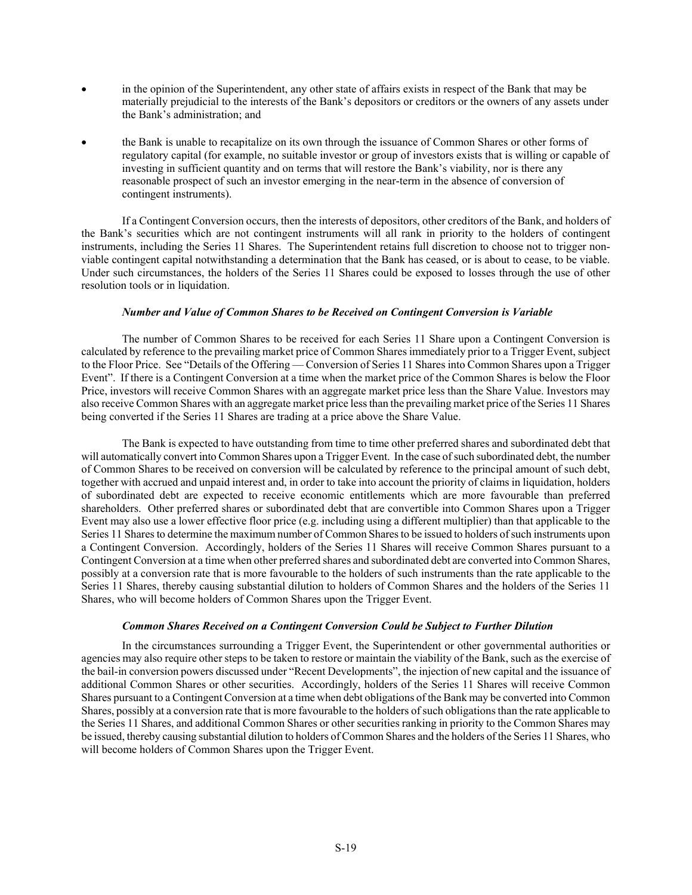- in the opinion of the Superintendent, any other state of affairs exists in respect of the Bank that may be materially prejudicial to the interests of the Bank's depositors or creditors or the owners of any assets under the Bank's administration; and
- the Bank is unable to recapitalize on its own through the issuance of Common Shares or other forms of regulatory capital (for example, no suitable investor or group of investors exists that is willing or capable of investing in sufficient quantity and on terms that will restore the Bank's viability, nor is there any reasonable prospect of such an investor emerging in the near-term in the absence of conversion of contingent instruments).

If a Contingent Conversion occurs, then the interests of depositors, other creditors of the Bank, and holders of the Bank's securities which are not contingent instruments will all rank in priority to the holders of contingent instruments, including the Series 11 Shares. The Superintendent retains full discretion to choose not to trigger nonviable contingent capital notwithstanding a determination that the Bank has ceased, or is about to cease, to be viable. Under such circumstances, the holders of the Series 11 Shares could be exposed to losses through the use of other resolution tools or in liquidation.

## *Number and Value of Common Shares to be Received on Contingent Conversion is Variable*

The number of Common Shares to be received for each Series 11 Share upon a Contingent Conversion is calculated by reference to the prevailing market price of Common Shares immediately prior to a Trigger Event, subject to the Floor Price. See "Details of the Offering — Conversion of Series 11 Shares into Common Shares upon a Trigger Event". If there is a Contingent Conversion at a time when the market price of the Common Shares is below the Floor Price, investors will receive Common Shares with an aggregate market price less than the Share Value. Investors may also receive Common Shares with an aggregate market price less than the prevailing market price of the Series 11 Shares being converted if the Series 11 Shares are trading at a price above the Share Value.

The Bank is expected to have outstanding from time to time other preferred shares and subordinated debt that will automatically convert into Common Shares upon a Trigger Event. In the case of such subordinated debt, the number of Common Shares to be received on conversion will be calculated by reference to the principal amount of such debt, together with accrued and unpaid interest and, in order to take into account the priority of claims in liquidation, holders of subordinated debt are expected to receive economic entitlements which are more favourable than preferred shareholders. Other preferred shares or subordinated debt that are convertible into Common Shares upon a Trigger Event may also use a lower effective floor price (e.g. including using a different multiplier) than that applicable to the Series 11 Shares to determine the maximum number of Common Shares to be issued to holders of such instruments upon a Contingent Conversion. Accordingly, holders of the Series 11 Shares will receive Common Shares pursuant to a Contingent Conversion at a time when other preferred shares and subordinated debt are converted into Common Shares, possibly at a conversion rate that is more favourable to the holders of such instruments than the rate applicable to the Series 11 Shares, thereby causing substantial dilution to holders of Common Shares and the holders of the Series 11 Shares, who will become holders of Common Shares upon the Trigger Event.

### *Common Shares Received on a Contingent Conversion Could be Subject to Further Dilution*

In the circumstances surrounding a Trigger Event, the Superintendent or other governmental authorities or agencies may also require other steps to be taken to restore or maintain the viability of the Bank, such as the exercise of the bail-in conversion powers discussed under "Recent Developments", the injection of new capital and the issuance of additional Common Shares or other securities. Accordingly, holders of the Series 11 Shares will receive Common Shares pursuant to a Contingent Conversion at a time when debt obligations of the Bank may be converted into Common Shares, possibly at a conversion rate that is more favourable to the holders of such obligations than the rate applicable to the Series 11 Shares, and additional Common Shares or other securities ranking in priority to the Common Shares may be issued, thereby causing substantial dilution to holders of Common Shares and the holders of the Series 11 Shares, who will become holders of Common Shares upon the Trigger Event.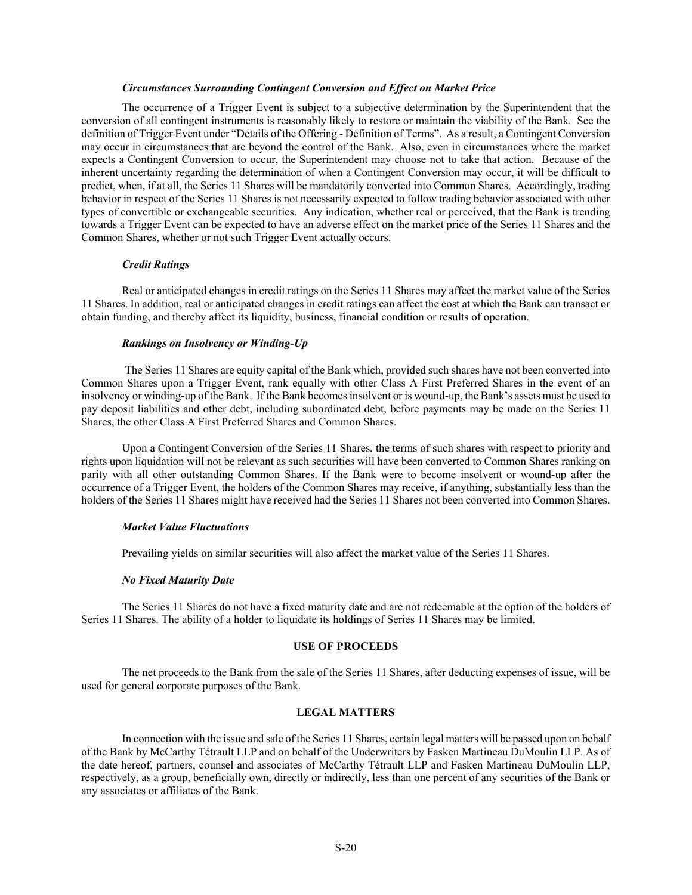### *Circumstances Surrounding Contingent Conversion and Effect on Market Price*

The occurrence of a Trigger Event is subject to a subjective determination by the Superintendent that the conversion of all contingent instruments is reasonably likely to restore or maintain the viability of the Bank. See the definition of Trigger Event under "Details of the Offering - Definition of Terms". As a result, a Contingent Conversion may occur in circumstances that are beyond the control of the Bank. Also, even in circumstances where the market expects a Contingent Conversion to occur, the Superintendent may choose not to take that action. Because of the inherent uncertainty regarding the determination of when a Contingent Conversion may occur, it will be difficult to predict, when, if at all, the Series 11 Shares will be mandatorily converted into Common Shares. Accordingly, trading behavior in respect of the Series 11 Shares is not necessarily expected to follow trading behavior associated with other types of convertible or exchangeable securities. Any indication, whether real or perceived, that the Bank is trending towards a Trigger Event can be expected to have an adverse effect on the market price of the Series 11 Shares and the Common Shares, whether or not such Trigger Event actually occurs.

#### *Credit Ratings*

Real or anticipated changes in credit ratings on the Series 11 Shares may affect the market value of the Series 11 Shares. In addition, real or anticipated changes in credit ratings can affect the cost at which the Bank can transact or obtain funding, and thereby affect its liquidity, business, financial condition or results of operation.

### *Rankings on Insolvency or Winding-Up*

 The Series 11 Shares are equity capital of the Bank which, provided such shares have not been converted into Common Shares upon a Trigger Event, rank equally with other Class A First Preferred Shares in the event of an insolvency or winding-up of the Bank. If the Bank becomes insolvent or is wound-up, the Bank's assets must be used to pay deposit liabilities and other debt, including subordinated debt, before payments may be made on the Series 11 Shares, the other Class A First Preferred Shares and Common Shares.

Upon a Contingent Conversion of the Series 11 Shares, the terms of such shares with respect to priority and rights upon liquidation will not be relevant as such securities will have been converted to Common Shares ranking on parity with all other outstanding Common Shares. If the Bank were to become insolvent or wound-up after the occurrence of a Trigger Event, the holders of the Common Shares may receive, if anything, substantially less than the holders of the Series 11 Shares might have received had the Series 11 Shares not been converted into Common Shares.

#### *Market Value Fluctuations*

Prevailing yields on similar securities will also affect the market value of the Series 11 Shares.

#### *No Fixed Maturity Date*

The Series 11 Shares do not have a fixed maturity date and are not redeemable at the option of the holders of Series 11 Shares. The ability of a holder to liquidate its holdings of Series 11 Shares may be limited.

# **USE OF PROCEEDS**

The net proceeds to the Bank from the sale of the Series 11 Shares, after deducting expenses of issue, will be used for general corporate purposes of the Bank.

## **LEGAL MATTERS**

In connection with the issue and sale of the Series 11 Shares, certain legal matters will be passed upon on behalf of the Bank by McCarthy Tétrault LLP and on behalf of the Underwriters by Fasken Martineau DuMoulin LLP. As of the date hereof, partners, counsel and associates of McCarthy Tétrault LLP and Fasken Martineau DuMoulin LLP, respectively, as a group, beneficially own, directly or indirectly, less than one percent of any securities of the Bank or any associates or affiliates of the Bank.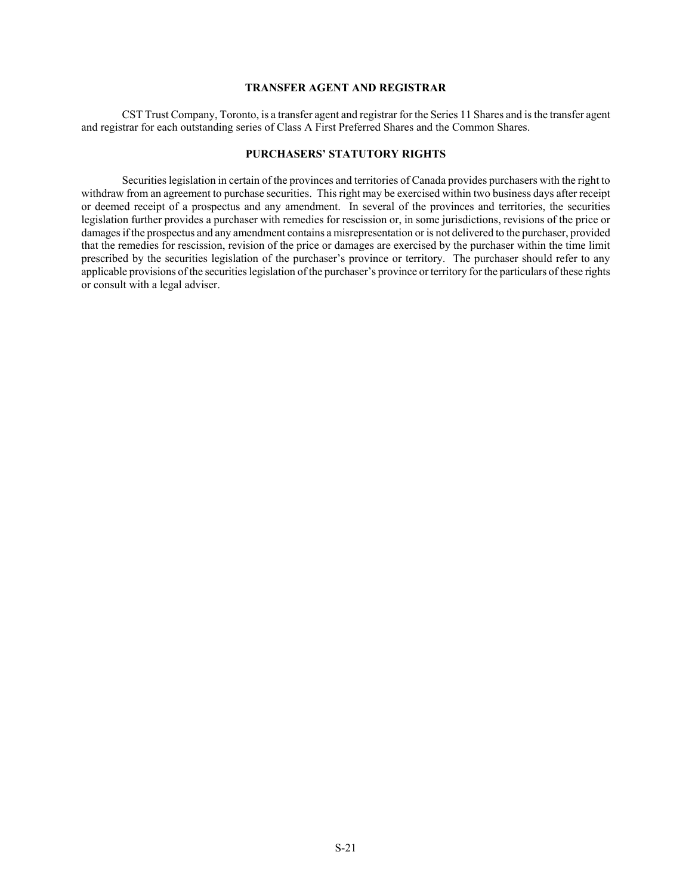# **TRANSFER AGENT AND REGISTRAR**

CST Trust Company, Toronto, is a transfer agent and registrar for the Series 11 Shares and is the transfer agent and registrar for each outstanding series of Class A First Preferred Shares and the Common Shares.

# **PURCHASERS' STATUTORY RIGHTS**

Securities legislation in certain of the provinces and territories of Canada provides purchasers with the right to withdraw from an agreement to purchase securities. This right may be exercised within two business days after receipt or deemed receipt of a prospectus and any amendment. In several of the provinces and territories, the securities legislation further provides a purchaser with remedies for rescission or, in some jurisdictions, revisions of the price or damages if the prospectus and any amendment contains a misrepresentation or is not delivered to the purchaser, provided that the remedies for rescission, revision of the price or damages are exercised by the purchaser within the time limit prescribed by the securities legislation of the purchaser's province or territory. The purchaser should refer to any applicable provisions of the securities legislation of the purchaser's province or territory for the particulars of these rights or consult with a legal adviser.